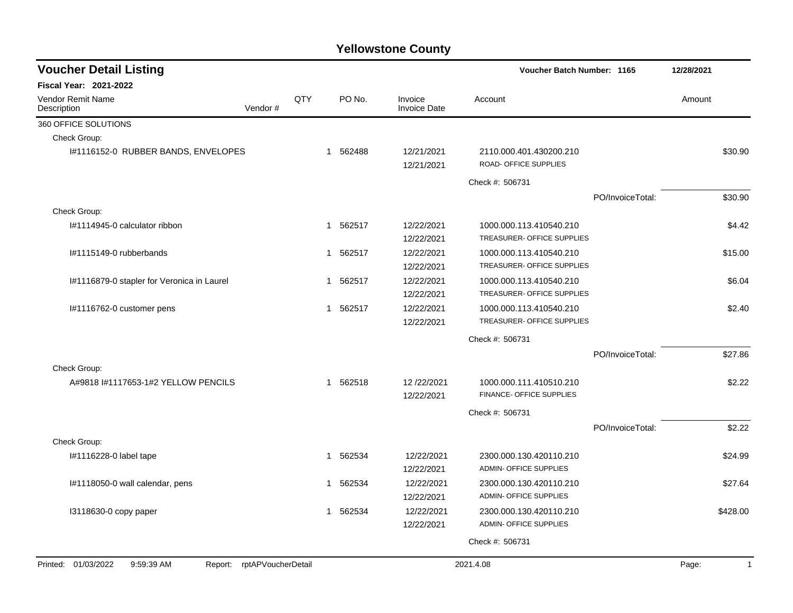| <b>Voucher Detail Listing</b>                                   |     |              |        |                                | Voucher Batch Number: 1165                               |                  | 12/28/2021 |              |
|-----------------------------------------------------------------|-----|--------------|--------|--------------------------------|----------------------------------------------------------|------------------|------------|--------------|
| <b>Fiscal Year: 2021-2022</b>                                   |     |              |        |                                |                                                          |                  |            |              |
| <b>Vendor Remit Name</b><br>Vendor#<br>Description              | QTY |              | PO No. | Invoice<br><b>Invoice Date</b> | Account                                                  |                  | Amount     |              |
| 360 OFFICE SOLUTIONS                                            |     |              |        |                                |                                                          |                  |            |              |
| Check Group:                                                    |     |              |        |                                |                                                          |                  |            |              |
| I#1116152-0 RUBBER BANDS, ENVELOPES                             |     | $\mathbf{1}$ | 562488 | 12/21/2021<br>12/21/2021       | 2110.000.401.430200.210<br>ROAD- OFFICE SUPPLIES         |                  |            | \$30.90      |
|                                                                 |     |              |        |                                | Check #: 506731                                          |                  |            |              |
|                                                                 |     |              |        |                                |                                                          | PO/InvoiceTotal: |            | \$30.90      |
| Check Group:                                                    |     |              |        |                                |                                                          |                  |            |              |
| I#1114945-0 calculator ribbon                                   |     | 1            | 562517 | 12/22/2021<br>12/22/2021       | 1000.000.113.410540.210<br>TREASURER- OFFICE SUPPLIES    |                  |            | \$4.42       |
| I#1115149-0 rubberbands                                         |     | 1            | 562517 | 12/22/2021<br>12/22/2021       | 1000.000.113.410540.210<br>TREASURER- OFFICE SUPPLIES    |                  |            | \$15.00      |
| I#1116879-0 stapler for Veronica in Laurel                      |     | 1            | 562517 | 12/22/2021<br>12/22/2021       | 1000.000.113.410540.210<br>TREASURER- OFFICE SUPPLIES    |                  |            | \$6.04       |
| I#1116762-0 customer pens                                       |     | 1            | 562517 | 12/22/2021<br>12/22/2021       | 1000.000.113.410540.210<br>TREASURER- OFFICE SUPPLIES    |                  |            | \$2.40       |
|                                                                 |     |              |        |                                | Check #: 506731                                          |                  |            |              |
|                                                                 |     |              |        |                                |                                                          | PO/InvoiceTotal: |            | \$27.86      |
| Check Group:                                                    |     |              |        |                                |                                                          |                  |            |              |
| A#9818 #1117653-1#2 YELLOW PENCILS                              |     | $\mathbf{1}$ | 562518 | 12/22/2021<br>12/22/2021       | 1000.000.111.410510.210<br>FINANCE- OFFICE SUPPLIES      |                  |            | \$2.22       |
|                                                                 |     |              |        |                                | Check #: 506731                                          |                  |            |              |
|                                                                 |     |              |        |                                |                                                          | PO/InvoiceTotal: |            | \$2.22       |
| Check Group:                                                    |     |              |        |                                |                                                          |                  |            |              |
| I#1116228-0 label tape                                          |     | 1            | 562534 | 12/22/2021<br>12/22/2021       | 2300.000.130.420110.210<br>ADMIN- OFFICE SUPPLIES        |                  |            | \$24.99      |
| I#1118050-0 wall calendar, pens                                 |     | 1            | 562534 | 12/22/2021<br>12/22/2021       | 2300.000.130.420110.210<br><b>ADMIN- OFFICE SUPPLIES</b> |                  |            | \$27.64      |
| 13118630-0 copy paper                                           |     | 1            | 562534 | 12/22/2021<br>12/22/2021       | 2300.000.130.420110.210<br><b>ADMIN- OFFICE SUPPLIES</b> |                  |            | \$428.00     |
|                                                                 |     |              |        |                                | Check #: 506731                                          |                  |            |              |
|                                                                 |     |              |        |                                |                                                          |                  |            |              |
| Printed: 01/03/2022<br>Report: rptAPVoucherDetail<br>9:59:39 AM |     |              |        |                                | 2021.4.08                                                |                  | Page:      | $\mathbf{1}$ |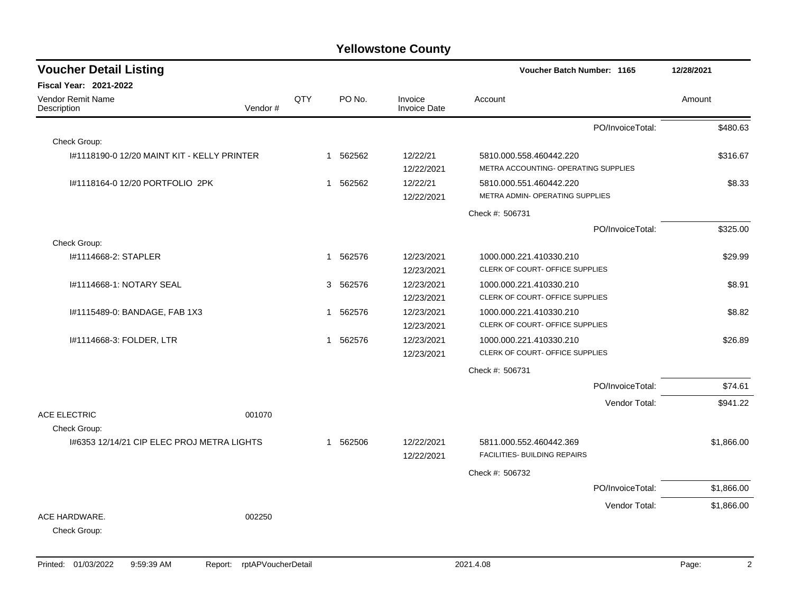| <b>Voucher Detail Listing</b>                              |         |     |                        |                                | Voucher Batch Number: 1165                                      | 12/28/2021 |
|------------------------------------------------------------|---------|-----|------------------------|--------------------------------|-----------------------------------------------------------------|------------|
| Fiscal Year: 2021-2022                                     |         |     |                        |                                |                                                                 |            |
| Vendor Remit Name<br>Description                           | Vendor# | QTY | PO No.                 | Invoice<br><b>Invoice Date</b> | Account                                                         | Amount     |
|                                                            |         |     |                        |                                | PO/InvoiceTotal:                                                | \$480.63   |
| Check Group:                                               |         |     |                        |                                |                                                                 |            |
| 1#1118190-0 12/20 MAINT KIT - KELLY PRINTER                |         |     | 1 562562               | 12/22/21<br>12/22/2021         | 5810.000.558.460442.220<br>METRA ACCOUNTING- OPERATING SUPPLIES | \$316.67   |
| I#1118164-0 12/20 PORTFOLIO 2PK                            |         |     | 562562<br>$\mathbf{1}$ | 12/22/21<br>12/22/2021         | 5810.000.551.460442.220<br>METRA ADMIN- OPERATING SUPPLIES      | \$8.33     |
|                                                            |         |     |                        |                                | Check #: 506731                                                 |            |
|                                                            |         |     |                        |                                | PO/InvoiceTotal:                                                | \$325.00   |
| Check Group:                                               |         |     |                        |                                |                                                                 |            |
| I#1114668-2: STAPLER                                       |         |     | 1 562576               | 12/23/2021<br>12/23/2021       | 1000.000.221.410330.210<br>CLERK OF COURT- OFFICE SUPPLIES      | \$29.99    |
| 1#1114668-1: NOTARY SEAL                                   |         |     | 562576<br>3            | 12/23/2021<br>12/23/2021       | 1000.000.221.410330.210<br>CLERK OF COURT- OFFICE SUPPLIES      | \$8.91     |
| I#1115489-0: BANDAGE, FAB 1X3                              |         |     | 1 562576               | 12/23/2021<br>12/23/2021       | 1000.000.221.410330.210<br>CLERK OF COURT- OFFICE SUPPLIES      | \$8.82     |
| I#1114668-3: FOLDER, LTR                                   |         |     | 1 562576               | 12/23/2021<br>12/23/2021       | 1000.000.221.410330.210<br>CLERK OF COURT- OFFICE SUPPLIES      | \$26.89    |
|                                                            |         |     |                        |                                | Check #: 506731                                                 |            |
|                                                            |         |     |                        |                                | PO/InvoiceTotal:                                                | \$74.61    |
| <b>ACE ELECTRIC</b>                                        | 001070  |     |                        |                                | Vendor Total:                                                   | \$941.22   |
| Check Group:<br>I#6353 12/14/21 CIP ELEC PROJ METRA LIGHTS |         |     | 1 562506               | 12/22/2021<br>12/22/2021       | 5811.000.552.460442.369<br>FACILITIES- BUILDING REPAIRS         | \$1,866.00 |
|                                                            |         |     |                        |                                | Check #: 506732                                                 |            |
|                                                            |         |     |                        |                                | PO/InvoiceTotal:                                                | \$1,866.00 |
|                                                            |         |     |                        |                                | Vendor Total:                                                   | \$1,866.00 |
| ACE HARDWARE.<br>Check Group:                              | 002250  |     |                        |                                |                                                                 |            |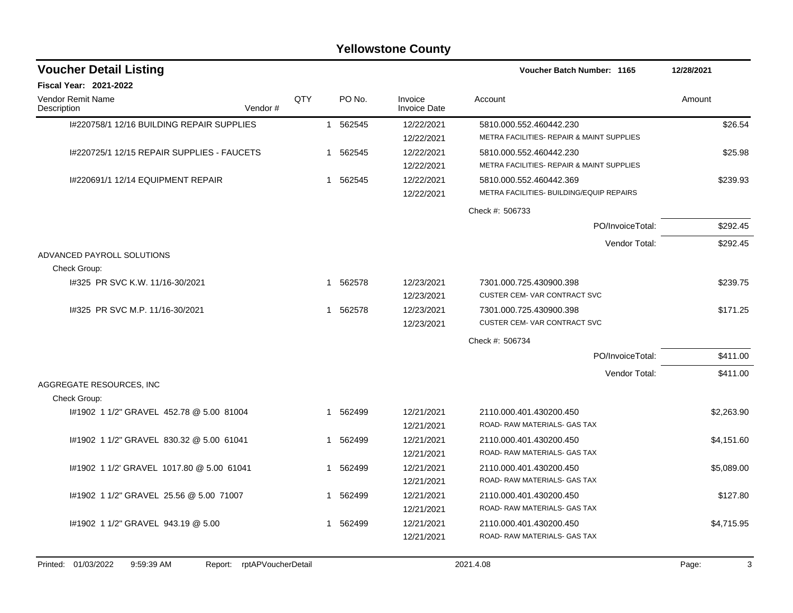| <b>Voucher Detail Listing</b>              | Voucher Batch Number: 1165 |     | 12/28/2021   |          |                                |                                                                      |                                                                      |            |
|--------------------------------------------|----------------------------|-----|--------------|----------|--------------------------------|----------------------------------------------------------------------|----------------------------------------------------------------------|------------|
| <b>Fiscal Year: 2021-2022</b>              |                            |     |              |          |                                |                                                                      |                                                                      |            |
| <b>Vendor Remit Name</b><br>Description    | Vendor#                    | QTY |              | PO No.   | Invoice<br><b>Invoice Date</b> | Account                                                              |                                                                      | Amount     |
| 1#220758/1 12/16 BUILDING REPAIR SUPPLIES  |                            |     | $\mathbf{1}$ | 562545   | 12/22/2021<br>12/22/2021       | 5810.000.552.460442.230<br>METRA FACILITIES- REPAIR & MAINT SUPPLIES |                                                                      | \$26.54    |
| I#220725/1 12/15 REPAIR SUPPLIES - FAUCETS |                            |     | $\mathbf 1$  | 562545   | 12/22/2021<br>12/22/2021       |                                                                      | 5810.000.552.460442.230<br>METRA FACILITIES- REPAIR & MAINT SUPPLIES |            |
| I#220691/1 12/14 EQUIPMENT REPAIR          |                            |     |              | 1 562545 | 12/22/2021<br>12/22/2021       | 5810.000.552.460442.369<br>METRA FACILITIES- BUILDING/EQUIP REPAIRS  |                                                                      | \$239.93   |
|                                            |                            |     |              |          |                                | Check #: 506733                                                      |                                                                      |            |
|                                            |                            |     |              |          |                                |                                                                      | PO/InvoiceTotal:                                                     | \$292.45   |
|                                            |                            |     |              |          |                                |                                                                      | Vendor Total:                                                        | \$292.45   |
| ADVANCED PAYROLL SOLUTIONS<br>Check Group: |                            |     |              |          |                                |                                                                      |                                                                      |            |
| 1#325 PR SVC K.W. 11/16-30/2021            |                            |     | 1            | 562578   | 12/23/2021<br>12/23/2021       | 7301.000.725.430900.398<br>CUSTER CEM-VAR CONTRACT SVC               |                                                                      | \$239.75   |
| 1#325 PR SVC M.P. 11/16-30/2021            |                            |     | 1            | 562578   | 12/23/2021<br>12/23/2021       | 7301.000.725.430900.398<br><b>CUSTER CEM-VAR CONTRACT SVC</b>        |                                                                      | \$171.25   |
|                                            |                            |     |              |          |                                | Check #: 506734                                                      |                                                                      |            |
|                                            |                            |     |              |          |                                |                                                                      | PO/InvoiceTotal:                                                     | \$411.00   |
|                                            |                            |     |              |          |                                |                                                                      | Vendor Total:                                                        | \$411.00   |
| AGGREGATE RESOURCES, INC                   |                            |     |              |          |                                |                                                                      |                                                                      |            |
| Check Group:                               |                            |     |              |          |                                |                                                                      |                                                                      |            |
| #1902 1 1/2" GRAVEL 452.78 @ 5.00 81004    |                            |     | -1           | 562499   | 12/21/2021<br>12/21/2021       | 2110.000.401.430200.450<br>ROAD-RAW MATERIALS- GAS TAX               |                                                                      | \$2,263.90 |
| #1902 1 1/2" GRAVEL 830.32 @ 5.00 61041    |                            |     | 1            | 562499   | 12/21/2021<br>12/21/2021       | 2110.000.401.430200.450<br>ROAD- RAW MATERIALS- GAS TAX              |                                                                      | \$4,151.60 |
| #1902 1 1/2 GRAVEL 1017.80 @ 5.00 61041    |                            |     | 1            | 562499   | 12/21/2021<br>12/21/2021       | 2110.000.401.430200.450<br>ROAD- RAW MATERIALS- GAS TAX              |                                                                      | \$5,089.00 |
| #1902 1 1/2" GRAVEL 25.56 @ 5.00 71007     |                            |     |              | 1 562499 | 12/21/2021<br>12/21/2021       | 2110.000.401.430200.450<br>ROAD- RAW MATERIALS- GAS TAX              |                                                                      | \$127.80   |
| #1902 1 1/2" GRAVEL 943.19 @ 5.00          |                            |     | $\mathbf{1}$ | 562499   | 12/21/2021<br>12/21/2021       | 2110.000.401.430200.450<br>ROAD- RAW MATERIALS- GAS TAX              |                                                                      | \$4,715.95 |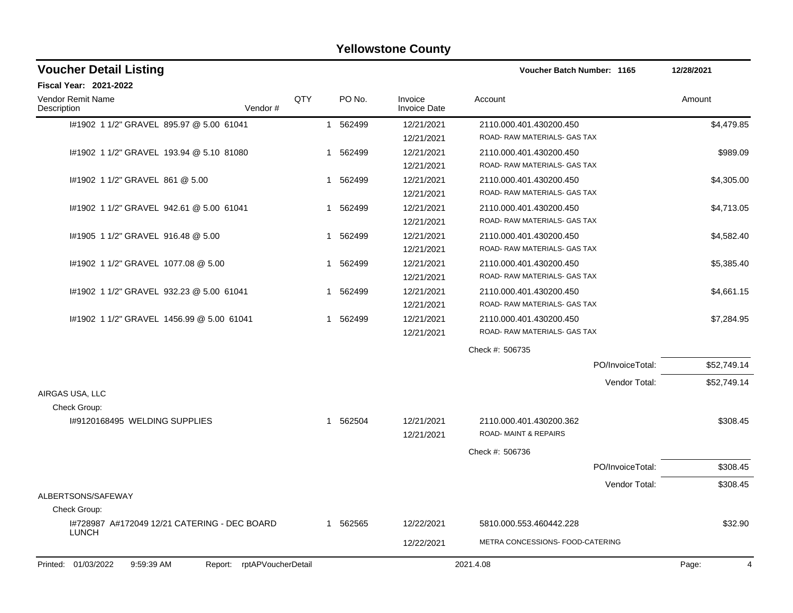| <b>Voucher Detail Listing</b>                                   |     |             |                                | <b>Voucher Batch Number: 1165</b>                       |                  | 12/28/2021  |  |
|-----------------------------------------------------------------|-----|-------------|--------------------------------|---------------------------------------------------------|------------------|-------------|--|
| <b>Fiscal Year: 2021-2022</b>                                   |     |             |                                |                                                         |                  |             |  |
| <b>Vendor Remit Name</b><br>Vendor#<br>Description              | QTY | PO No.      | Invoice<br><b>Invoice Date</b> | Account                                                 |                  | Amount      |  |
| I#1902 1 1/2" GRAVEL 895.97 @ 5.00 61041                        |     | 1 562499    | 12/21/2021<br>12/21/2021       | 2110.000.401.430200.450<br>ROAD- RAW MATERIALS- GAS TAX |                  | \$4,479.85  |  |
| I#1902 1 1/2" GRAVEL 193.94 @ 5.10 81080                        |     | 562499<br>1 | 12/21/2021<br>12/21/2021       | 2110.000.401.430200.450<br>ROAD- RAW MATERIALS- GAS TAX |                  | \$989.09    |  |
| #1902 1 1/2" GRAVEL 861 @ 5.00                                  |     | 562499<br>1 | 12/21/2021<br>12/21/2021       | 2110.000.401.430200.450<br>ROAD- RAW MATERIALS- GAS TAX |                  | \$4,305.00  |  |
| #1902 1 1/2" GRAVEL 942.61 @ 5.00 61041                         |     | 562499<br>1 | 12/21/2021<br>12/21/2021       | 2110.000.401.430200.450<br>ROAD- RAW MATERIALS- GAS TAX |                  | \$4,713.05  |  |
| 1#1905 1 1/2" GRAVEL 916.48 @ 5.00                              |     | 562499<br>1 | 12/21/2021<br>12/21/2021       | 2110.000.401.430200.450<br>ROAD- RAW MATERIALS- GAS TAX |                  | \$4,582.40  |  |
| I#1902 1 1/2" GRAVEL 1077.08 @ 5.00                             |     | 562499<br>1 | 12/21/2021<br>12/21/2021       | 2110.000.401.430200.450<br>ROAD- RAW MATERIALS- GAS TAX |                  | \$5,385.40  |  |
| #1902 1 1/2" GRAVEL 932.23 @ 5.00 61041                         |     | 562499<br>1 | 12/21/2021<br>12/21/2021       | 2110.000.401.430200.450<br>ROAD- RAW MATERIALS- GAS TAX |                  | \$4,661.15  |  |
| #1902 1 1/2" GRAVEL 1456.99 @ 5.00 61041                        |     | 562499<br>1 | 12/21/2021<br>12/21/2021       | 2110.000.401.430200.450<br>ROAD- RAW MATERIALS- GAS TAX |                  | \$7,284.95  |  |
|                                                                 |     |             |                                | Check #: 506735                                         |                  |             |  |
|                                                                 |     |             |                                |                                                         | PO/InvoiceTotal: | \$52,749.14 |  |
| AIRGAS USA, LLC                                                 |     |             |                                |                                                         | Vendor Total:    | \$52,749.14 |  |
| Check Group:<br>I#9120168495 WELDING SUPPLIES                   |     | 1 562504    | 12/21/2021<br>12/21/2021       | 2110.000.401.430200.362<br>ROAD-MAINT & REPAIRS         |                  | \$308.45    |  |
|                                                                 |     |             |                                | Check #: 506736                                         |                  |             |  |
|                                                                 |     |             |                                |                                                         | PO/InvoiceTotal: | \$308.45    |  |
| ALBERTSONS/SAFEWAY<br>Check Group:                              |     |             |                                |                                                         | Vendor Total:    | \$308.45    |  |
| 1#728987 A#172049 12/21 CATERING - DEC BOARD                    |     | 1 562565    | 12/22/2021                     | 5810.000.553.460442.228                                 |                  | \$32.90     |  |
| <b>LUNCH</b>                                                    |     |             | 12/22/2021                     | METRA CONCESSIONS- FOOD-CATERING                        |                  |             |  |
| Printed: 01/03/2022<br>9:59:39 AM<br>Report: rptAPVoucherDetail |     |             |                                | 2021.4.08                                               |                  | Page:<br>4  |  |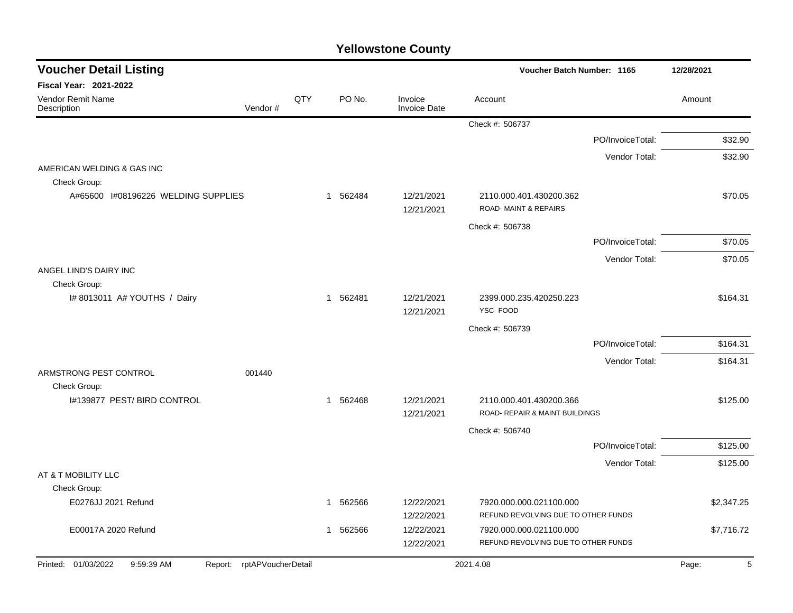| <b>Voucher Detail Listing</b>              |                            |     |                          |                                | <b>Voucher Batch Number: 1165</b>                         | 12/28/2021       |            |
|--------------------------------------------|----------------------------|-----|--------------------------|--------------------------------|-----------------------------------------------------------|------------------|------------|
| <b>Fiscal Year: 2021-2022</b>              |                            |     |                          |                                |                                                           |                  |            |
| Vendor Remit Name<br>Description           | Vendor#                    | QTY | PO No.                   | Invoice<br><b>Invoice Date</b> | Account                                                   |                  | Amount     |
|                                            |                            |     |                          |                                | Check #: 506737                                           |                  |            |
|                                            |                            |     |                          |                                |                                                           | PO/InvoiceTotal: | \$32.90    |
|                                            |                            |     |                          |                                |                                                           | Vendor Total:    | \$32.90    |
| AMERICAN WELDING & GAS INC<br>Check Group: |                            |     |                          |                                |                                                           |                  |            |
| A#65600 1#08196226 WELDING SUPPLIES        |                            |     | 1 562484                 | 12/21/2021<br>12/21/2021       | 2110.000.401.430200.362<br>ROAD- MAINT & REPAIRS          |                  | \$70.05    |
|                                            |                            |     |                          |                                | Check #: 506738                                           |                  |            |
|                                            |                            |     |                          |                                |                                                           | PO/InvoiceTotal: | \$70.05    |
|                                            |                            |     |                          |                                |                                                           | Vendor Total:    | \$70.05    |
| ANGEL LIND'S DAIRY INC<br>Check Group:     |                            |     |                          |                                |                                                           |                  |            |
| I# 8013011 A# YOUTHS / Dairy               |                            |     | 1 562481                 | 12/21/2021<br>12/21/2021       | 2399.000.235.420250.223<br>YSC-FOOD                       |                  | \$164.31   |
|                                            |                            |     |                          |                                | Check #: 506739                                           |                  |            |
|                                            |                            |     |                          |                                |                                                           | PO/InvoiceTotal: | \$164.31   |
|                                            |                            |     |                          |                                |                                                           | Vendor Total:    | \$164.31   |
| ARMSTRONG PEST CONTROL<br>Check Group:     | 001440                     |     |                          |                                |                                                           |                  |            |
| I#139877 PEST/BIRD CONTROL                 |                            |     | 1 562468                 | 12/21/2021<br>12/21/2021       | 2110.000.401.430200.366<br>ROAD- REPAIR & MAINT BUILDINGS |                  | \$125.00   |
|                                            |                            |     |                          |                                | Check #: 506740                                           |                  |            |
|                                            |                            |     |                          |                                |                                                           | PO/InvoiceTotal: | \$125.00   |
|                                            |                            |     |                          |                                |                                                           | Vendor Total:    | \$125.00   |
| AT & T MOBILITY LLC                        |                            |     |                          |                                |                                                           |                  |            |
| Check Group:<br>E0276JJ 2021 Refund        |                            |     | 562566<br>-1             | 12/22/2021                     | 7920.000.000.021100.000                                   |                  | \$2,347.25 |
|                                            |                            |     |                          | 12/22/2021                     | REFUND REVOLVING DUE TO OTHER FUNDS                       |                  |            |
| E00017A 2020 Refund                        |                            |     | 562566<br>$\overline{1}$ | 12/22/2021                     | 7920.000.000.021100.000                                   |                  | \$7,716.72 |
|                                            |                            |     |                          | 12/22/2021                     | REFUND REVOLVING DUE TO OTHER FUNDS                       |                  |            |
| Printed: 01/03/2022<br>9:59:39 AM          | Report: rptAPVoucherDetail |     |                          |                                | 2021.4.08                                                 |                  | Page:<br>5 |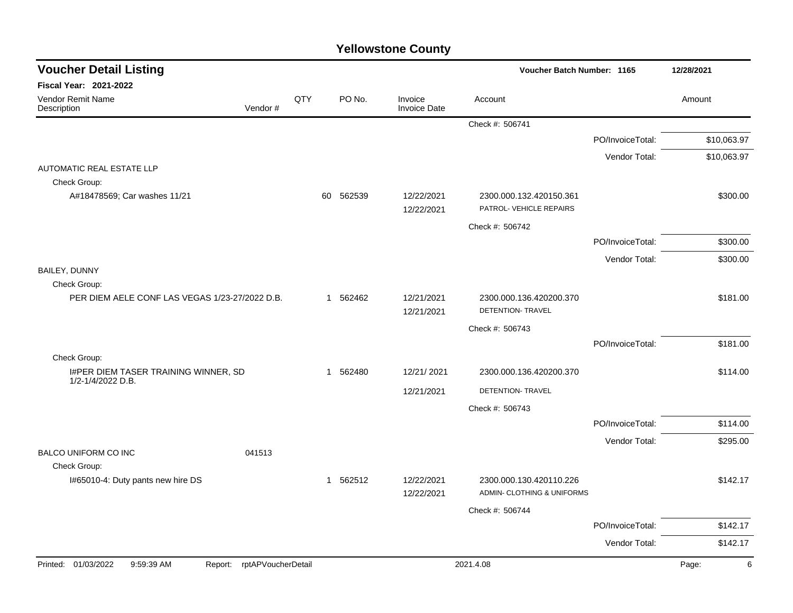| <b>Voucher Detail Listing</b>                                      |     |              |                                |                                                    | Voucher Batch Number: 1165 |             |
|--------------------------------------------------------------------|-----|--------------|--------------------------------|----------------------------------------------------|----------------------------|-------------|
| <b>Fiscal Year: 2021-2022</b>                                      |     |              |                                |                                                    |                            |             |
| Vendor Remit Name<br>Vendor#<br>Description                        | QTY | PO No.       | Invoice<br><b>Invoice Date</b> | Account                                            |                            | Amount      |
|                                                                    |     |              |                                | Check #: 506741                                    |                            |             |
|                                                                    |     |              |                                |                                                    | PO/InvoiceTotal:           | \$10,063.97 |
|                                                                    |     |              |                                |                                                    | Vendor Total:              | \$10,063.97 |
| <b>AUTOMATIC REAL ESTATE LLP</b>                                   |     |              |                                |                                                    |                            |             |
| Check Group:<br>A#18478569; Car washes 11/21                       |     | 562539<br>60 | 12/22/2021<br>12/22/2021       | 2300.000.132.420150.361<br>PATROL- VEHICLE REPAIRS |                            | \$300.00    |
|                                                                    |     |              |                                | Check #: 506742                                    |                            |             |
|                                                                    |     |              |                                |                                                    | PO/InvoiceTotal:           | \$300.00    |
|                                                                    |     |              |                                |                                                    | Vendor Total:              | \$300.00    |
| BAILEY, DUNNY                                                      |     |              |                                |                                                    |                            |             |
| Check Group:                                                       |     |              |                                |                                                    |                            |             |
| PER DIEM AELE CONF LAS VEGAS 1/23-27/2022 D.B.                     |     | 1 562462     | 12/21/2021<br>12/21/2021       | 2300.000.136.420200.370<br>DETENTION- TRAVEL       |                            | \$181.00    |
|                                                                    |     |              |                                | Check #: 506743                                    |                            |             |
|                                                                    |     |              |                                |                                                    | PO/InvoiceTotal:           | \$181.00    |
| Check Group:                                                       |     |              |                                |                                                    |                            |             |
| I#PER DIEM TASER TRAINING WINNER, SD<br>1/2-1/4/2022 D.B.          |     | 1 562480     | 12/21/2021                     | 2300.000.136.420200.370                            |                            | \$114.00    |
|                                                                    |     |              | 12/21/2021                     | DETENTION- TRAVEL                                  |                            |             |
|                                                                    |     |              |                                | Check #: 506743                                    |                            |             |
|                                                                    |     |              |                                |                                                    | PO/InvoiceTotal:           | \$114.00    |
|                                                                    |     |              |                                |                                                    | Vendor Total:              | \$295.00    |
| <b>BALCO UNIFORM CO INC</b><br>041513                              |     |              |                                |                                                    |                            |             |
| Check Group:<br>I#65010-4: Duty pants new hire DS                  |     | 1 562512     | 12/22/2021                     | 2300.000.130.420110.226                            |                            | \$142.17    |
|                                                                    |     |              | 12/22/2021                     | ADMIN- CLOTHING & UNIFORMS                         |                            |             |
|                                                                    |     |              |                                | Check #: 506744                                    |                            |             |
|                                                                    |     |              |                                |                                                    | PO/InvoiceTotal:           | \$142.17    |
|                                                                    |     |              |                                |                                                    | Vendor Total:              | \$142.17    |
| Printed: 01/03/2022<br>9:59:39 AM<br>rptAPVoucherDetail<br>Report: |     |              |                                | 2021.4.08                                          |                            | Page:<br>6  |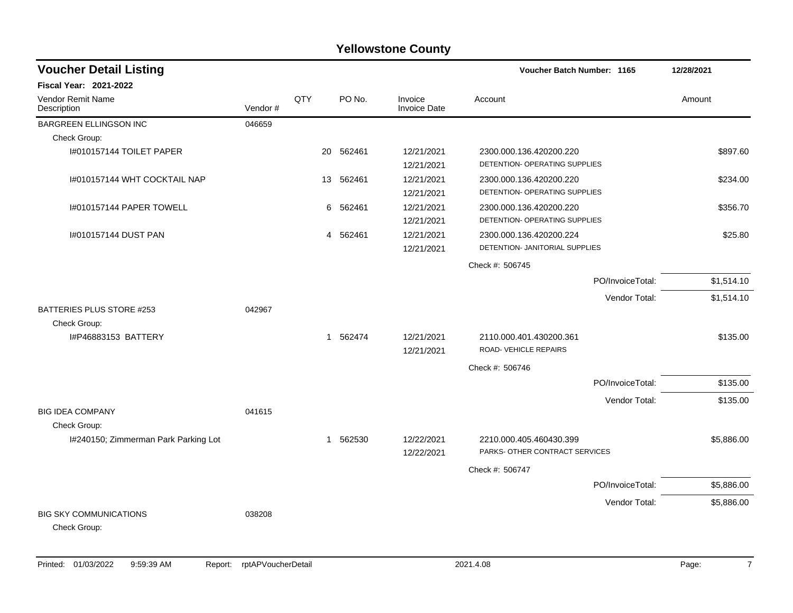| <b>Voucher Detail Listing</b>           |         |              |          |                                | <b>Voucher Batch Number: 1165</b> | 12/28/2021 |
|-----------------------------------------|---------|--------------|----------|--------------------------------|-----------------------------------|------------|
| <b>Fiscal Year: 2021-2022</b>           |         |              |          |                                |                                   |            |
| <b>Vendor Remit Name</b><br>Description | Vendor# | QTY          | PO No.   | Invoice<br><b>Invoice Date</b> | Account                           | Amount     |
| BARGREEN ELLINGSON INC                  | 046659  |              |          |                                |                                   |            |
| Check Group:                            |         |              |          |                                |                                   |            |
| 1#010157144 TOILET PAPER                |         | 20           | 562461   | 12/21/2021                     | 2300.000.136.420200.220           | \$897.60   |
|                                         |         |              |          | 12/21/2021                     | DETENTION- OPERATING SUPPLIES     |            |
| I#010157144 WHT COCKTAIL NAP            |         | 13           | 562461   | 12/21/2021                     | 2300.000.136.420200.220           | \$234.00   |
|                                         |         |              |          | 12/21/2021                     | DETENTION- OPERATING SUPPLIES     |            |
| I#010157144 PAPER TOWELL                |         | 6            | 562461   | 12/21/2021                     | 2300.000.136.420200.220           | \$356.70   |
|                                         |         |              |          | 12/21/2021                     | DETENTION- OPERATING SUPPLIES     |            |
| I#010157144 DUST PAN                    |         |              | 4 562461 | 12/21/2021                     | 2300.000.136.420200.224           | \$25.80    |
|                                         |         |              |          | 12/21/2021                     | DETENTION- JANITORIAL SUPPLIES    |            |
|                                         |         |              |          |                                | Check #: 506745                   |            |
|                                         |         |              |          |                                | PO/InvoiceTotal:                  | \$1,514.10 |
|                                         |         |              |          |                                | Vendor Total:                     | \$1,514.10 |
| BATTERIES PLUS STORE #253               | 042967  |              |          |                                |                                   |            |
| Check Group:                            |         |              |          |                                |                                   |            |
| I#P46883153 BATTERY                     |         |              | 1 562474 | 12/21/2021                     | 2110.000.401.430200.361           | \$135.00   |
|                                         |         |              |          | 12/21/2021                     | ROAD-VEHICLE REPAIRS              |            |
|                                         |         |              |          |                                | Check #: 506746                   |            |
|                                         |         |              |          |                                | PO/InvoiceTotal:                  | \$135.00   |
|                                         |         |              |          |                                | Vendor Total:                     | \$135.00   |
| <b>BIG IDEA COMPANY</b>                 | 041615  |              |          |                                |                                   |            |
| Check Group:                            |         |              |          |                                |                                   |            |
| I#240150; Zimmerman Park Parking Lot    |         | $\mathbf{1}$ | 562530   | 12/22/2021                     | 2210.000.405.460430.399           | \$5,886.00 |
|                                         |         |              |          | 12/22/2021                     | PARKS- OTHER CONTRACT SERVICES    |            |
|                                         |         |              |          |                                | Check #: 506747                   |            |
|                                         |         |              |          |                                | PO/InvoiceTotal:                  | \$5,886.00 |
|                                         |         |              |          |                                | Vendor Total:                     | \$5,886.00 |
| <b>BIG SKY COMMUNICATIONS</b>           | 038208  |              |          |                                |                                   |            |
| Check Group:                            |         |              |          |                                |                                   |            |
|                                         |         |              |          |                                |                                   |            |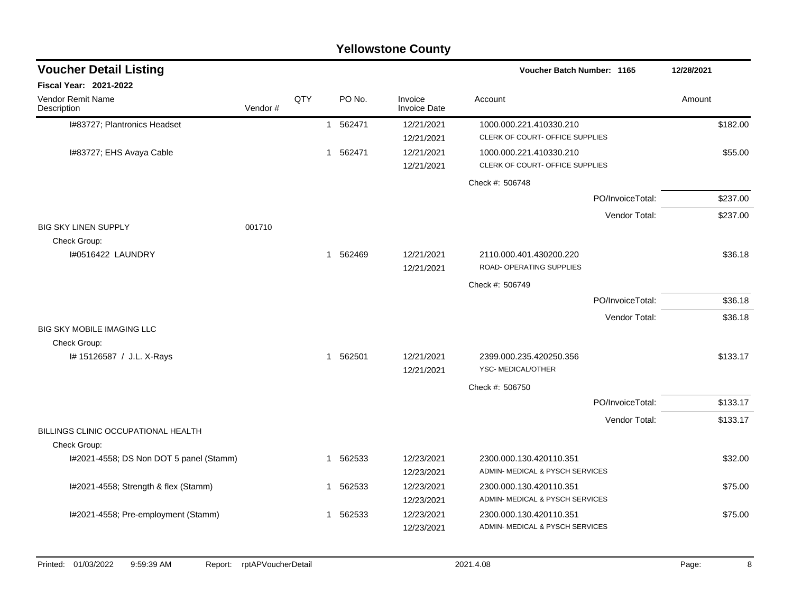|                                                     |         |     |              |          | <b>Yellowstone County</b>      |                                                            |                  |            |          |
|-----------------------------------------------------|---------|-----|--------------|----------|--------------------------------|------------------------------------------------------------|------------------|------------|----------|
| <b>Voucher Detail Listing</b>                       |         |     |              |          |                                | Voucher Batch Number: 1165                                 |                  | 12/28/2021 |          |
| <b>Fiscal Year: 2021-2022</b>                       |         |     |              |          |                                |                                                            |                  |            |          |
| <b>Vendor Remit Name</b><br>Description             | Vendor# | QTY |              | PO No.   | Invoice<br><b>Invoice Date</b> | Account                                                    |                  | Amount     |          |
| I#83727; Plantronics Headset                        |         |     |              | 1 562471 | 12/21/2021<br>12/21/2021       | 1000.000.221.410330.210<br>CLERK OF COURT- OFFICE SUPPLIES |                  |            | \$182.00 |
| I#83727; EHS Avaya Cable                            |         |     |              | 1 562471 | 12/21/2021<br>12/21/2021       | 1000.000.221.410330.210<br>CLERK OF COURT- OFFICE SUPPLIES |                  |            | \$55.00  |
|                                                     |         |     |              |          |                                | Check #: 506748                                            |                  |            |          |
|                                                     |         |     |              |          |                                |                                                            | PO/InvoiceTotal: |            | \$237.00 |
| <b>BIG SKY LINEN SUPPLY</b>                         | 001710  |     |              |          |                                |                                                            | Vendor Total:    |            | \$237.00 |
| Check Group:<br>1#0516422 LAUNDRY                   |         |     |              | 1 562469 | 12/21/2021<br>12/21/2021       | 2110.000.401.430200.220<br>ROAD- OPERATING SUPPLIES        |                  |            | \$36.18  |
|                                                     |         |     |              |          |                                | Check #: 506749                                            |                  |            |          |
|                                                     |         |     |              |          |                                |                                                            | PO/InvoiceTotal: |            | \$36.18  |
| <b>BIG SKY MOBILE IMAGING LLC</b>                   |         |     |              |          |                                |                                                            | Vendor Total:    |            | \$36.18  |
| Check Group:                                        |         |     |              |          |                                |                                                            |                  |            |          |
| I# 15126587 / J.L. X-Rays                           |         |     |              | 1 562501 | 12/21/2021<br>12/21/2021       | 2399.000.235.420250.356<br>YSC-MEDICAL/OTHER               |                  |            | \$133.17 |
|                                                     |         |     |              |          |                                | Check #: 506750                                            |                  |            |          |
|                                                     |         |     |              |          |                                |                                                            | PO/InvoiceTotal: |            | \$133.17 |
|                                                     |         |     |              |          |                                |                                                            | Vendor Total:    |            | \$133.17 |
| BILLINGS CLINIC OCCUPATIONAL HEALTH<br>Check Group: |         |     |              |          |                                |                                                            |                  |            |          |
| I#2021-4558; DS Non DOT 5 panel (Stamm)             |         |     | 1            | 562533   | 12/23/2021<br>12/23/2021       | 2300.000.130.420110.351<br>ADMIN- MEDICAL & PYSCH SERVICES |                  |            | \$32.00  |
| I#2021-4558; Strength & flex (Stamm)                |         |     | $\mathbf{1}$ | 562533   | 12/23/2021<br>12/23/2021       | 2300.000.130.420110.351<br>ADMIN- MEDICAL & PYSCH SERVICES |                  |            | \$75.00  |
| I#2021-4558; Pre-employment (Stamm)                 |         |     | 1            | 562533   | 12/23/2021<br>12/23/2021       | 2300.000.130.420110.351<br>ADMIN- MEDICAL & PYSCH SERVICES |                  |            | \$75.00  |
|                                                     |         |     |              |          |                                |                                                            |                  |            |          |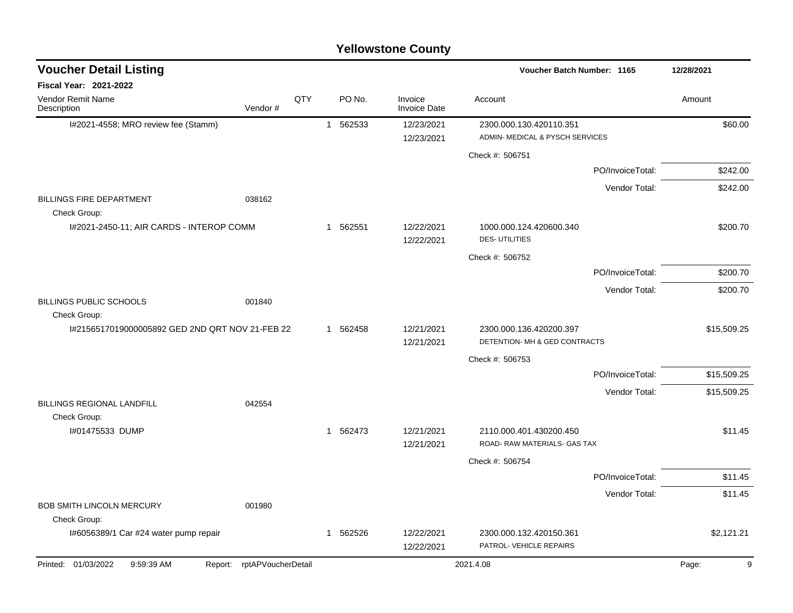| <b>Yellowstone County</b> |  |
|---------------------------|--|
|---------------------------|--|

| <b>Voucher Detail Listing</b>                    |                               |     |          |                                | Voucher Batch Number: 1165                                 |                  | 12/28/2021  |
|--------------------------------------------------|-------------------------------|-----|----------|--------------------------------|------------------------------------------------------------|------------------|-------------|
| Fiscal Year: 2021-2022                           |                               |     |          |                                |                                                            |                  |             |
| Vendor Remit Name<br>Description                 | Vendor#                       | QTY | PO No.   | Invoice<br><b>Invoice Date</b> | Account                                                    |                  | Amount      |
| I#2021-4558; MRO review fee (Stamm)              |                               |     | 1 562533 | 12/23/2021<br>12/23/2021       | 2300.000.130.420110.351<br>ADMIN- MEDICAL & PYSCH SERVICES |                  | \$60.00     |
|                                                  |                               |     |          |                                | Check #: 506751                                            |                  |             |
|                                                  |                               |     |          |                                |                                                            | PO/InvoiceTotal: | \$242.00    |
|                                                  |                               |     |          |                                |                                                            | Vendor Total:    | \$242.00    |
| <b>BILLINGS FIRE DEPARTMENT</b><br>Check Group:  | 038162                        |     |          |                                |                                                            |                  |             |
| I#2021-2450-11; AIR CARDS - INTEROP COMM         |                               |     | 1 562551 | 12/22/2021<br>12/22/2021       | 1000.000.124.420600.340<br><b>DES-UTILITIES</b>            |                  | \$200.70    |
|                                                  |                               |     |          |                                | Check #: 506752                                            |                  |             |
|                                                  |                               |     |          |                                |                                                            | PO/InvoiceTotal: | \$200.70    |
|                                                  |                               |     |          |                                |                                                            | Vendor Total:    | \$200.70    |
| BILLINGS PUBLIC SCHOOLS<br>Check Group:          | 001840                        |     |          |                                |                                                            |                  |             |
| I#2156517019000005892 GED 2ND QRT NOV 21-FEB 22  |                               |     | 1 562458 | 12/21/2021<br>12/21/2021       | 2300.000.136.420200.397<br>DETENTION- MH & GED CONTRACTS   |                  | \$15,509.25 |
|                                                  |                               |     |          |                                | Check #: 506753                                            |                  |             |
|                                                  |                               |     |          |                                |                                                            | PO/InvoiceTotal: | \$15,509.25 |
| <b>BILLINGS REGIONAL LANDFILL</b>                | 042554                        |     |          |                                |                                                            | Vendor Total:    | \$15,509.25 |
| Check Group:                                     |                               |     |          |                                |                                                            |                  |             |
| I#01475533 DUMP                                  |                               |     | 1 562473 | 12/21/2021<br>12/21/2021       | 2110.000.401.430200.450<br>ROAD- RAW MATERIALS- GAS TAX    |                  | \$11.45     |
|                                                  |                               |     |          |                                | Check #: 506754                                            |                  |             |
|                                                  |                               |     |          |                                |                                                            | PO/InvoiceTotal: | \$11.45     |
|                                                  |                               |     |          |                                |                                                            | Vendor Total:    | \$11.45     |
| <b>BOB SMITH LINCOLN MERCURY</b><br>Check Group: | 001980                        |     |          |                                |                                                            |                  |             |
| I#6056389/1 Car #24 water pump repair            |                               |     | 1 562526 | 12/22/2021<br>12/22/2021       | 2300.000.132.420150.361<br>PATROL- VEHICLE REPAIRS         |                  | \$2,121.21  |
| Printed: 01/03/2022<br>9:59:39 AM                | rptAPVoucherDetail<br>Report: |     |          |                                | 2021.4.08                                                  |                  | 9<br>Page:  |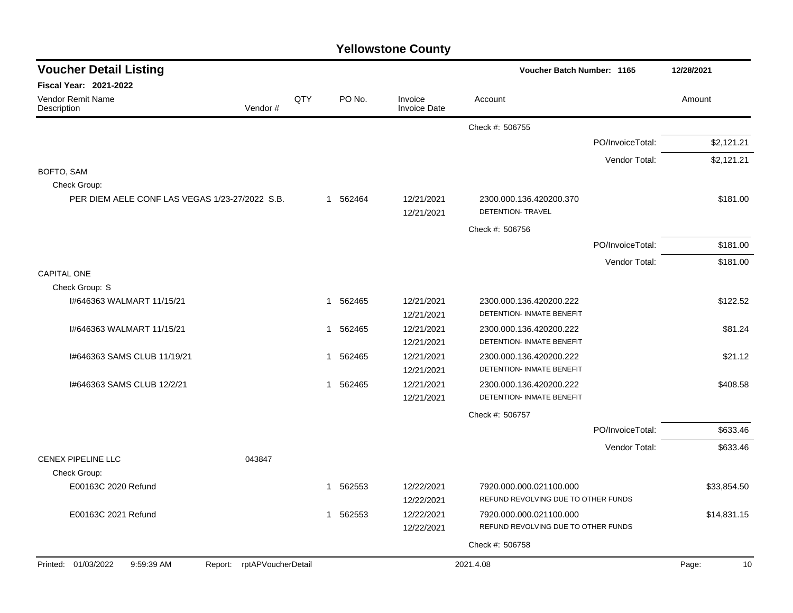| <b>Voucher Detail Listing</b>                       |                    |              |          |                                | Voucher Batch Number: 1165                                  | 12/28/2021       |             |
|-----------------------------------------------------|--------------------|--------------|----------|--------------------------------|-------------------------------------------------------------|------------------|-------------|
| <b>Fiscal Year: 2021-2022</b>                       |                    |              |          |                                |                                                             |                  |             |
| Vendor Remit Name<br>Vendor#<br>Description         | QTY                |              | PO No.   | Invoice<br><b>Invoice Date</b> | Account                                                     |                  | Amount      |
|                                                     |                    |              |          |                                | Check #: 506755                                             |                  |             |
|                                                     |                    |              |          |                                |                                                             | PO/InvoiceTotal: | \$2,121.21  |
|                                                     |                    |              |          |                                |                                                             | Vendor Total:    | \$2,121.21  |
| BOFTO, SAM                                          |                    |              |          |                                |                                                             |                  |             |
| Check Group:                                        |                    |              |          |                                |                                                             |                  |             |
| PER DIEM AELE CONF LAS VEGAS 1/23-27/2022 S.B.      |                    |              | 1 562464 | 12/21/2021<br>12/21/2021       | 2300.000.136.420200.370<br>DETENTION- TRAVEL                |                  | \$181.00    |
|                                                     |                    |              |          |                                | Check #: 506756                                             |                  |             |
|                                                     |                    |              |          |                                |                                                             | PO/InvoiceTotal: | \$181.00    |
|                                                     |                    |              |          |                                |                                                             | Vendor Total:    | \$181.00    |
| <b>CAPITAL ONE</b>                                  |                    |              |          |                                |                                                             |                  |             |
| Check Group: S                                      |                    |              |          |                                |                                                             |                  |             |
| 1#646363 WALMART 11/15/21                           |                    | $\mathbf{1}$ | 562465   | 12/21/2021<br>12/21/2021       | 2300.000.136.420200.222<br><b>DETENTION- INMATE BENEFIT</b> |                  | \$122.52    |
| I#646363 WALMART 11/15/21                           |                    | $\mathbf{1}$ | 562465   | 12/21/2021                     | 2300.000.136.420200.222                                     |                  | \$81.24     |
|                                                     |                    |              |          | 12/21/2021                     | DETENTION- INMATE BENEFIT                                   |                  |             |
| 1#646363 SAMS CLUB 11/19/21                         |                    |              | 1 562465 | 12/21/2021                     | 2300.000.136.420200.222                                     |                  | \$21.12     |
|                                                     |                    |              |          | 12/21/2021                     | DETENTION- INMATE BENEFIT                                   |                  |             |
| 1#646363 SAMS CLUB 12/2/21                          |                    |              | 1 562465 | 12/21/2021                     | 2300.000.136.420200.222                                     |                  | \$408.58    |
|                                                     |                    |              |          | 12/21/2021                     | DETENTION- INMATE BENEFIT                                   |                  |             |
|                                                     |                    |              |          |                                | Check #: 506757                                             |                  |             |
|                                                     |                    |              |          |                                |                                                             | PO/InvoiceTotal: | \$633.46    |
|                                                     |                    |              |          |                                |                                                             | Vendor Total:    | \$633.46    |
| <b>CENEX PIPELINE LLC</b><br>043847<br>Check Group: |                    |              |          |                                |                                                             |                  |             |
| E00163C 2020 Refund                                 |                    | 1            | 562553   | 12/22/2021                     | 7920.000.000.021100.000                                     |                  | \$33,854.50 |
|                                                     |                    |              |          | 12/22/2021                     | REFUND REVOLVING DUE TO OTHER FUNDS                         |                  |             |
| E00163C 2021 Refund                                 |                    | $\mathbf{1}$ | 562553   | 12/22/2021                     | 7920.000.000.021100.000                                     |                  | \$14,831.15 |
|                                                     |                    |              |          | 12/22/2021                     | REFUND REVOLVING DUE TO OTHER FUNDS                         |                  |             |
|                                                     |                    |              |          |                                | Check #: 506758                                             |                  |             |
| Printed: 01/03/2022<br>9:59:39 AM<br>Report:        | rptAPVoucherDetail |              |          |                                | 2021.4.08                                                   |                  | Page:<br>10 |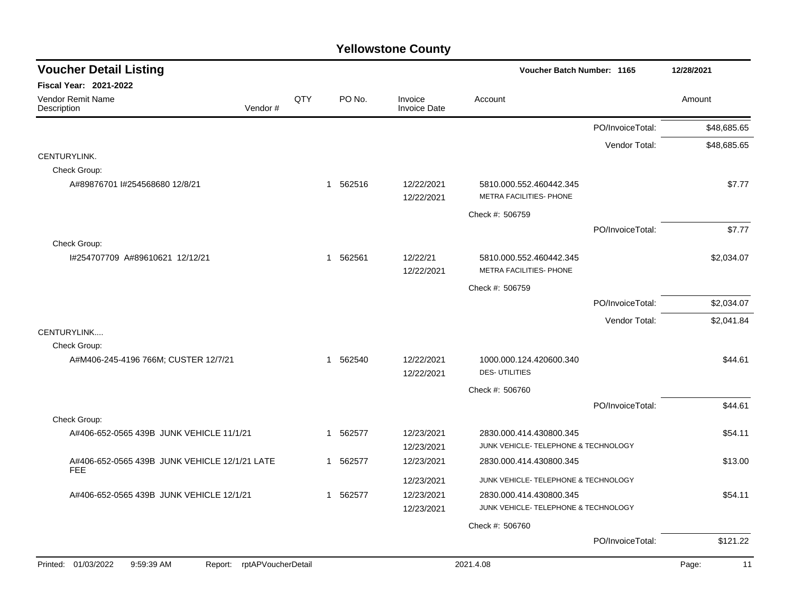| <b>Voucher Detail Listing</b>                                   |     |              | <b>Voucher Batch Number: 1165</b> |                                | 12/28/2021                                                      |                  |             |
|-----------------------------------------------------------------|-----|--------------|-----------------------------------|--------------------------------|-----------------------------------------------------------------|------------------|-------------|
| <b>Fiscal Year: 2021-2022</b>                                   |     |              |                                   |                                |                                                                 |                  |             |
| <b>Vendor Remit Name</b><br>Vendor#<br>Description              | QTY |              | PO No.                            | Invoice<br><b>Invoice Date</b> | Account                                                         |                  | Amount      |
|                                                                 |     |              |                                   |                                |                                                                 | PO/InvoiceTotal: | \$48,685.65 |
|                                                                 |     |              |                                   |                                |                                                                 | Vendor Total:    | \$48,685.65 |
| CENTURYLINK.                                                    |     |              |                                   |                                |                                                                 |                  |             |
| Check Group:                                                    |     |              |                                   |                                |                                                                 |                  |             |
| A#89876701 I#254568680 12/8/21                                  |     | $\mathbf{1}$ | 562516                            | 12/22/2021                     | 5810.000.552.460442.345                                         |                  | \$7.77      |
|                                                                 |     |              |                                   | 12/22/2021                     | METRA FACILITIES- PHONE                                         |                  |             |
|                                                                 |     |              |                                   |                                | Check #: 506759                                                 |                  |             |
|                                                                 |     |              |                                   |                                |                                                                 | PO/InvoiceTotal: | \$7.77      |
| Check Group:                                                    |     |              |                                   |                                |                                                                 |                  |             |
| I#254707709 A#89610621 12/12/21                                 |     |              | 1 562561                          | 12/22/21                       | 5810.000.552.460442.345                                         |                  | \$2,034.07  |
|                                                                 |     |              |                                   | 12/22/2021                     | METRA FACILITIES- PHONE                                         |                  |             |
|                                                                 |     |              |                                   |                                | Check #: 506759                                                 |                  |             |
|                                                                 |     |              |                                   |                                |                                                                 | PO/InvoiceTotal: | \$2,034.07  |
|                                                                 |     |              |                                   |                                |                                                                 | Vendor Total:    | \$2,041.84  |
| CENTURYLINK                                                     |     |              |                                   |                                |                                                                 |                  |             |
| Check Group:                                                    |     |              |                                   |                                |                                                                 |                  |             |
| A#M406-245-4196 766M; CUSTER 12/7/21                            |     |              | 1 562540                          | 12/22/2021                     | 1000.000.124.420600.340<br><b>DES-UTILITIES</b>                 |                  | \$44.61     |
|                                                                 |     |              |                                   | 12/22/2021                     |                                                                 |                  |             |
|                                                                 |     |              |                                   |                                | Check #: 506760                                                 |                  |             |
|                                                                 |     |              |                                   |                                |                                                                 | PO/InvoiceTotal: | \$44.61     |
| Check Group:                                                    |     |              |                                   |                                |                                                                 |                  |             |
| A#406-652-0565 439B JUNK VEHICLE 11/1/21                        |     |              | 1 562577                          | 12/23/2021<br>12/23/2021       | 2830.000.414.430800.345<br>JUNK VEHICLE- TELEPHONE & TECHNOLOGY |                  | \$54.11     |
| A#406-652-0565 439B JUNK VEHICLE 12/1/21 LATE                   |     |              | 1 562577                          | 12/23/2021                     | 2830.000.414.430800.345                                         |                  | \$13.00     |
| <b>FEE</b>                                                      |     |              |                                   |                                |                                                                 |                  |             |
|                                                                 |     |              |                                   | 12/23/2021                     | JUNK VEHICLE- TELEPHONE & TECHNOLOGY                            |                  |             |
| A#406-652-0565 439B JUNK VEHICLE 12/1/21                        |     |              | 1 562577                          | 12/23/2021                     | 2830.000.414.430800.345                                         |                  | \$54.11     |
|                                                                 |     |              |                                   | 12/23/2021                     | JUNK VEHICLE- TELEPHONE & TECHNOLOGY                            |                  |             |
|                                                                 |     |              |                                   |                                | Check #: 506760                                                 |                  |             |
|                                                                 |     |              |                                   |                                |                                                                 | PO/InvoiceTotal: | \$121.22    |
| Printed: 01/03/2022<br>9:59:39 AM<br>Report: rptAPVoucherDetail |     |              |                                   |                                | 2021.4.08                                                       |                  | Page:<br>11 |
|                                                                 |     |              |                                   |                                |                                                                 |                  |             |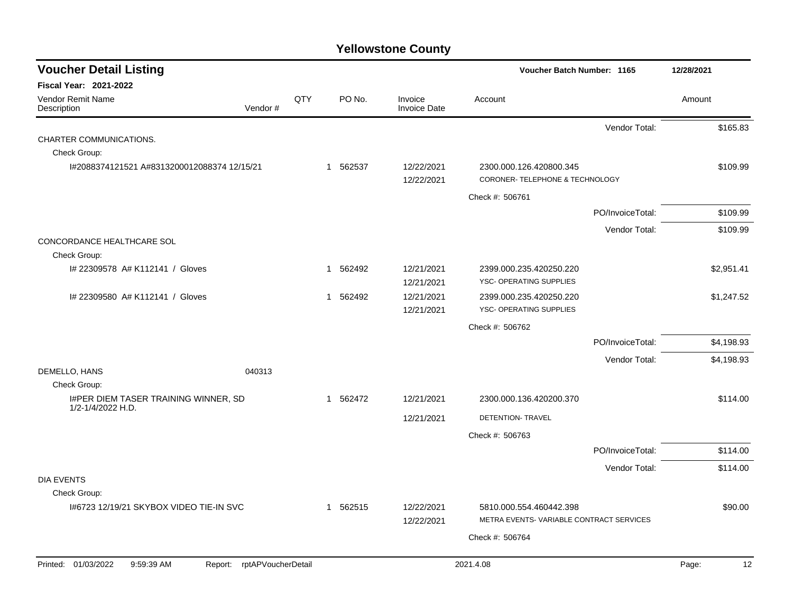| <b>Voucher Detail Listing</b>                                      |     |                        |                                | Voucher Batch Number: 1165                                 | 12/28/2021  |
|--------------------------------------------------------------------|-----|------------------------|--------------------------------|------------------------------------------------------------|-------------|
| <b>Fiscal Year: 2021-2022</b>                                      |     |                        |                                |                                                            |             |
| Vendor Remit Name<br>Vendor#<br>Description                        | QTY | PO No.                 | Invoice<br><b>Invoice Date</b> | Account                                                    | Amount      |
|                                                                    |     |                        |                                | Vendor Total:                                              | \$165.83    |
| CHARTER COMMUNICATIONS.                                            |     |                        |                                |                                                            |             |
| Check Group:                                                       |     |                        |                                |                                                            |             |
| I#2088374121521 A#8313200012088374 12/15/21                        |     | 1 562537               | 12/22/2021<br>12/22/2021       | 2300.000.126.420800.345<br>CORONER- TELEPHONE & TECHNOLOGY | \$109.99    |
|                                                                    |     |                        |                                | Check #: 506761                                            |             |
|                                                                    |     |                        |                                | PO/InvoiceTotal:                                           | \$109.99    |
|                                                                    |     |                        |                                | Vendor Total:                                              | \$109.99    |
| CONCORDANCE HEALTHCARE SOL<br>Check Group:                         |     |                        |                                |                                                            |             |
| I# 22309578 A# K112141 / Gloves                                    |     | 562492<br>$\mathbf 1$  | 12/21/2021                     | 2399.000.235.420250.220                                    | \$2,951.41  |
|                                                                    |     |                        | 12/21/2021                     | YSC- OPERATING SUPPLIES                                    |             |
| # 22309580 A# K112141 / Gloves                                     |     | 562492<br>$\mathbf{1}$ | 12/21/2021                     | 2399.000.235.420250.220                                    | \$1,247.52  |
|                                                                    |     |                        | 12/21/2021                     | YSC- OPERATING SUPPLIES                                    |             |
|                                                                    |     |                        |                                | Check #: 506762                                            |             |
|                                                                    |     |                        |                                | PO/InvoiceTotal:                                           | \$4,198.93  |
|                                                                    |     |                        |                                | Vendor Total:                                              | \$4,198.93  |
| DEMELLO, HANS<br>040313<br>Check Group:                            |     |                        |                                |                                                            |             |
| I#PER DIEM TASER TRAINING WINNER, SD                               |     | 1 562472               | 12/21/2021                     | 2300.000.136.420200.370                                    | \$114.00    |
| 1/2-1/4/2022 H.D.                                                  |     |                        | 12/21/2021                     | DETENTION- TRAVEL                                          |             |
|                                                                    |     |                        |                                | Check #: 506763                                            |             |
|                                                                    |     |                        |                                | PO/InvoiceTotal:                                           | \$114.00    |
|                                                                    |     |                        |                                | Vendor Total:                                              | \$114.00    |
| <b>DIA EVENTS</b>                                                  |     |                        |                                |                                                            |             |
| Check Group:                                                       |     |                        |                                |                                                            |             |
| 1#6723 12/19/21 SKYBOX VIDEO TIE-IN SVC                            |     | 1 562515               | 12/22/2021                     | 5810.000.554.460442.398                                    | \$90.00     |
|                                                                    |     |                        | 12/22/2021                     | METRA EVENTS-VARIABLE CONTRACT SERVICES                    |             |
|                                                                    |     |                        |                                | Check #: 506764                                            |             |
| Printed: 01/03/2022<br>9:59:39 AM<br>rptAPVoucherDetail<br>Report: |     |                        |                                | 2021.4.08                                                  | Page:<br>12 |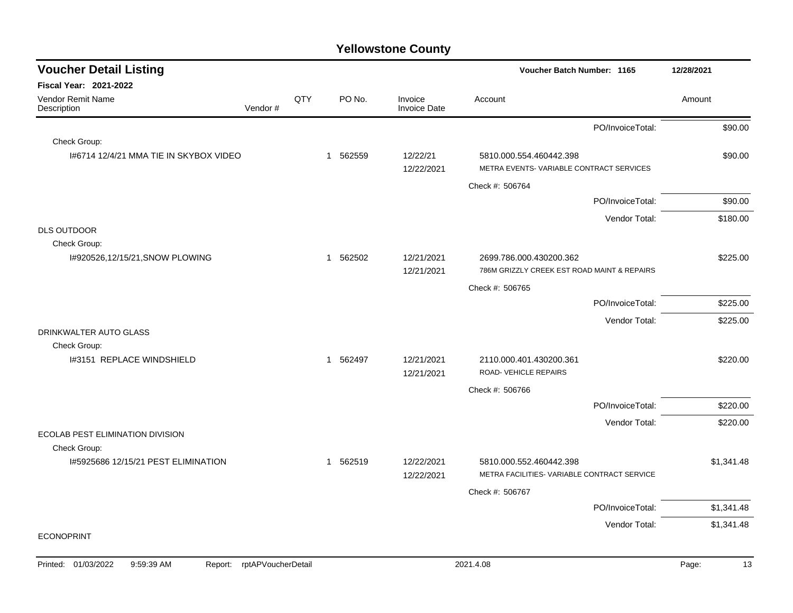| <b>Voucher Detail Listing</b>                   |         |     |                       |                                | Voucher Batch Number: 1165                                             | 12/28/2021                  |
|-------------------------------------------------|---------|-----|-----------------------|--------------------------------|------------------------------------------------------------------------|-----------------------------|
| <b>Fiscal Year: 2021-2022</b>                   |         |     |                       |                                |                                                                        |                             |
| <b>Vendor Remit Name</b><br>Description         | Vendor# | QTY | PO No.                | Invoice<br><b>Invoice Date</b> | Account                                                                | Amount                      |
|                                                 |         |     |                       |                                | PO/InvoiceTotal:                                                       | \$90.00                     |
| Check Group:                                    |         |     |                       |                                |                                                                        |                             |
| 1#6714 12/4/21 MMA TIE IN SKYBOX VIDEO          |         |     | 562559<br>1           | 12/22/21<br>12/22/2021         | 5810.000.554.460442.398<br>METRA EVENTS-VARIABLE CONTRACT SERVICES     | \$90.00                     |
|                                                 |         |     |                       |                                | Check #: 506764                                                        |                             |
|                                                 |         |     |                       |                                | PO/InvoiceTotal:                                                       | \$90.00                     |
|                                                 |         |     |                       |                                | Vendor Total:                                                          | \$180.00                    |
| <b>DLS OUTDOOR</b>                              |         |     |                       |                                |                                                                        |                             |
| Check Group:<br>I#920526,12/15/21, SNOW PLOWING |         |     | 1 562502              | 12/21/2021<br>12/21/2021       | 2699.786.000.430200.362<br>786M GRIZZLY CREEK EST ROAD MAINT & REPAIRS | \$225.00                    |
|                                                 |         |     |                       |                                | Check #: 506765                                                        |                             |
|                                                 |         |     |                       |                                | PO/InvoiceTotal:                                                       | \$225.00                    |
|                                                 |         |     |                       |                                | Vendor Total:                                                          | \$225.00                    |
| DRINKWALTER AUTO GLASS<br>Check Group:          |         |     |                       |                                |                                                                        |                             |
| I#3151 REPLACE WINDSHIELD                       |         |     | 562497<br>$\mathbf 1$ | 12/21/2021<br>12/21/2021       | 2110.000.401.430200.361<br>ROAD-VEHICLE REPAIRS                        | \$220.00                    |
|                                                 |         |     |                       |                                | Check #: 506766                                                        |                             |
|                                                 |         |     |                       |                                | PO/InvoiceTotal:                                                       | \$220.00                    |
|                                                 |         |     |                       |                                | Vendor Total:                                                          | \$220.00                    |
| <b>ECOLAB PEST ELIMINATION DIVISION</b>         |         |     |                       |                                |                                                                        |                             |
| Check Group:                                    |         |     |                       |                                |                                                                        |                             |
| 1#5925686 12/15/21 PEST ELIMINATION             |         |     | 1 562519              | 12/22/2021<br>12/22/2021       | 5810.000.552.460442.398<br>METRA FACILITIES- VARIABLE CONTRACT SERVICE | \$1,341.48                  |
|                                                 |         |     |                       |                                | Check #: 506767                                                        |                             |
|                                                 |         |     |                       |                                | PO/InvoiceTotal:                                                       | \$1,341.48                  |
|                                                 |         |     |                       |                                |                                                                        | Vendor Total:<br>\$1,341.48 |
| <b>ECONOPRINT</b>                               |         |     |                       |                                |                                                                        |                             |
|                                                 |         |     |                       |                                |                                                                        |                             |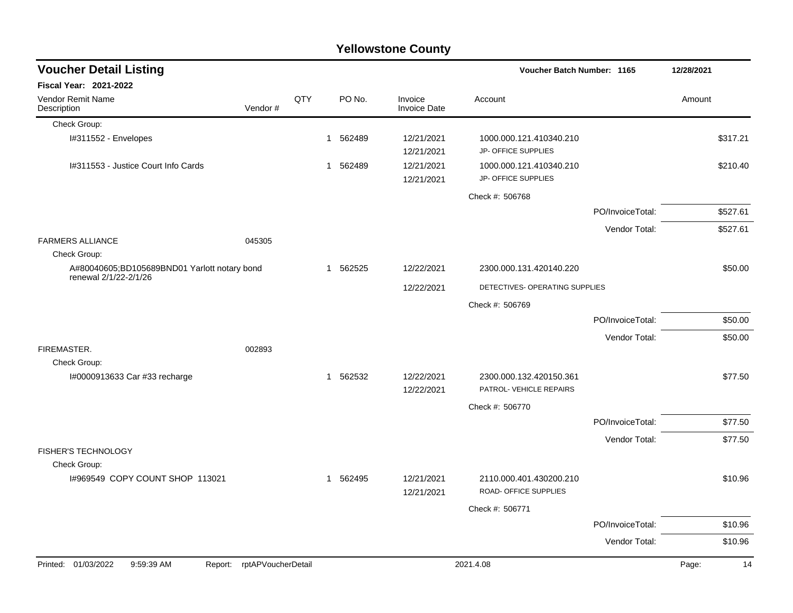|                                                                       |                            |     |              |          | <b>Yellowstone County</b>      |                                                    |                  |            |          |
|-----------------------------------------------------------------------|----------------------------|-----|--------------|----------|--------------------------------|----------------------------------------------------|------------------|------------|----------|
| <b>Voucher Detail Listing</b>                                         |                            |     |              |          |                                | Voucher Batch Number: 1165                         |                  | 12/28/2021 |          |
| Fiscal Year: 2021-2022                                                |                            |     |              |          |                                |                                                    |                  |            |          |
| Vendor Remit Name<br>Description                                      | Vendor#                    | QTY |              | PO No.   | Invoice<br><b>Invoice Date</b> | Account                                            |                  | Amount     |          |
| Check Group:                                                          |                            |     |              |          |                                |                                                    |                  |            |          |
| I#311552 - Envelopes                                                  |                            |     | $\mathbf{1}$ | 562489   | 12/21/2021<br>12/21/2021       | 1000.000.121.410340.210<br>JP- OFFICE SUPPLIES     |                  |            | \$317.21 |
| I#311553 - Justice Court Info Cards                                   |                            |     | $\mathbf{1}$ | 562489   | 12/21/2021<br>12/21/2021       | 1000.000.121.410340.210<br>JP- OFFICE SUPPLIES     |                  |            | \$210.40 |
|                                                                       |                            |     |              |          |                                | Check #: 506768                                    |                  |            |          |
|                                                                       |                            |     |              |          |                                |                                                    | PO/InvoiceTotal: |            | \$527.61 |
|                                                                       |                            |     |              |          |                                |                                                    | Vendor Total:    |            | \$527.61 |
| <b>FARMERS ALLIANCE</b><br>Check Group:                               | 045305                     |     |              |          |                                |                                                    |                  |            |          |
| A#80040605;BD105689BND01 Yarlott notary bond<br>renewal 2/1/22-2/1/26 |                            |     | 1            | 562525   | 12/22/2021                     | 2300.000.131.420140.220                            |                  |            | \$50.00  |
|                                                                       |                            |     |              |          | 12/22/2021                     | DETECTIVES- OPERATING SUPPLIES                     |                  |            |          |
|                                                                       |                            |     |              |          |                                | Check #: 506769                                    |                  |            |          |
|                                                                       |                            |     |              |          |                                |                                                    | PO/InvoiceTotal: |            | \$50.00  |
|                                                                       |                            |     |              |          |                                |                                                    | Vendor Total:    |            | \$50.00  |
| FIREMASTER.                                                           | 002893                     |     |              |          |                                |                                                    |                  |            |          |
| Check Group:                                                          |                            |     |              |          |                                |                                                    |                  |            |          |
| I#0000913633 Car #33 recharge                                         |                            |     | -1           | 562532   | 12/22/2021<br>12/22/2021       | 2300.000.132.420150.361<br>PATROL- VEHICLE REPAIRS |                  |            | \$77.50  |
|                                                                       |                            |     |              |          |                                | Check #: 506770                                    |                  |            |          |
|                                                                       |                            |     |              |          |                                |                                                    | PO/InvoiceTotal: |            | \$77.50  |
|                                                                       |                            |     |              |          |                                |                                                    | Vendor Total:    |            | \$77.50  |
| FISHER'S TECHNOLOGY                                                   |                            |     |              |          |                                |                                                    |                  |            |          |
| Check Group:                                                          |                            |     |              |          |                                |                                                    |                  |            |          |
| I#969549 COPY COUNT SHOP 113021                                       |                            |     |              | 1 562495 | 12/21/2021<br>12/21/2021       | 2110.000.401.430200.210<br>ROAD- OFFICE SUPPLIES   |                  |            | \$10.96  |
|                                                                       |                            |     |              |          |                                | Check #: 506771                                    |                  |            |          |
|                                                                       |                            |     |              |          |                                |                                                    | PO/InvoiceTotal: |            | \$10.96  |
|                                                                       |                            |     |              |          |                                |                                                    | Vendor Total:    |            | \$10.96  |
| Printed: 01/03/2022<br>9:59:39 AM                                     | Report: rptAPVoucherDetail |     |              |          |                                | 2021.4.08                                          |                  | Page:      | 14       |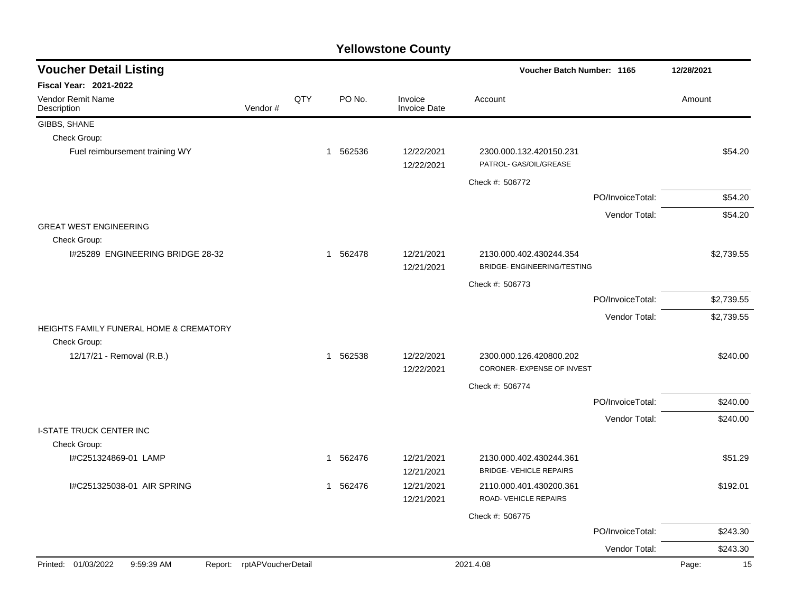| <b>Voucher Detail Listing</b>                                      |                    |     |             |        |                          | Voucher Batch Number: 1165                                |                  | 12/28/2021  |
|--------------------------------------------------------------------|--------------------|-----|-------------|--------|--------------------------|-----------------------------------------------------------|------------------|-------------|
| <b>Fiscal Year: 2021-2022</b>                                      |                    |     |             |        |                          |                                                           |                  |             |
| Vendor Remit Name<br>Description                                   | Vendor#            | QTY |             | PO No. | Invoice<br>Invoice Date  | Account                                                   |                  | Amount      |
| GIBBS, SHANE                                                       |                    |     |             |        |                          |                                                           |                  |             |
| Check Group:                                                       |                    |     |             |        |                          |                                                           |                  |             |
| Fuel reimbursement training WY                                     |                    |     | 1 562536    |        | 12/22/2021<br>12/22/2021 | 2300.000.132.420150.231<br>PATROL- GAS/OIL/GREASE         |                  | \$54.20     |
|                                                                    |                    |     |             |        |                          | Check #: 506772                                           |                  |             |
|                                                                    |                    |     |             |        |                          |                                                           | PO/InvoiceTotal: | \$54.20     |
|                                                                    |                    |     |             |        |                          |                                                           | Vendor Total:    | \$54.20     |
| <b>GREAT WEST ENGINEERING</b>                                      |                    |     |             |        |                          |                                                           |                  |             |
| Check Group:                                                       |                    |     |             |        |                          |                                                           |                  |             |
| I#25289 ENGINEERING BRIDGE 28-32                                   |                    |     | 1 562478    |        | 12/21/2021<br>12/21/2021 | 2130.000.402.430244.354<br>BRIDGE- ENGINEERING/TESTING    |                  | \$2,739.55  |
|                                                                    |                    |     |             |        |                          | Check #: 506773                                           |                  |             |
|                                                                    |                    |     |             |        |                          |                                                           | PO/InvoiceTotal: | \$2,739.55  |
|                                                                    |                    |     |             |        |                          |                                                           | Vendor Total:    | \$2,739.55  |
| <b>HEIGHTS FAMILY FUNERAL HOME &amp; CREMATORY</b><br>Check Group: |                    |     |             |        |                          |                                                           |                  |             |
| 12/17/21 - Removal (R.B.)                                          |                    |     | 1 562538    |        | 12/22/2021<br>12/22/2021 | 2300.000.126.420800.202<br>CORONER- EXPENSE OF INVEST     |                  | \$240.00    |
|                                                                    |                    |     |             |        |                          | Check #: 506774                                           |                  |             |
|                                                                    |                    |     |             |        |                          |                                                           | PO/InvoiceTotal: | \$240.00    |
|                                                                    |                    |     |             |        |                          |                                                           | Vendor Total:    | \$240.00    |
| <b>I-STATE TRUCK CENTER INC</b><br>Check Group:                    |                    |     |             |        |                          |                                                           |                  |             |
| I#C251324869-01 LAMP                                               |                    |     | -1          | 562476 | 12/21/2021               | 2130.000.402.430244.361<br><b>BRIDGE- VEHICLE REPAIRS</b> |                  | \$51.29     |
| I#C251325038-01 AIR SPRING                                         |                    |     | $\mathbf 1$ | 562476 | 12/21/2021<br>12/21/2021 | 2110.000.401.430200.361                                   |                  | \$192.01    |
|                                                                    |                    |     |             |        | 12/21/2021               | ROAD-VEHICLE REPAIRS                                      |                  |             |
|                                                                    |                    |     |             |        |                          | Check #: 506775                                           |                  |             |
|                                                                    |                    |     |             |        |                          |                                                           | PO/InvoiceTotal: | \$243.30    |
|                                                                    |                    |     |             |        |                          |                                                           | Vendor Total:    | \$243.30    |
| Printed: 01/03/2022<br>9:59:39 AM<br>Report:                       | rptAPVoucherDetail |     |             |        |                          | 2021.4.08                                                 |                  | 15<br>Page: |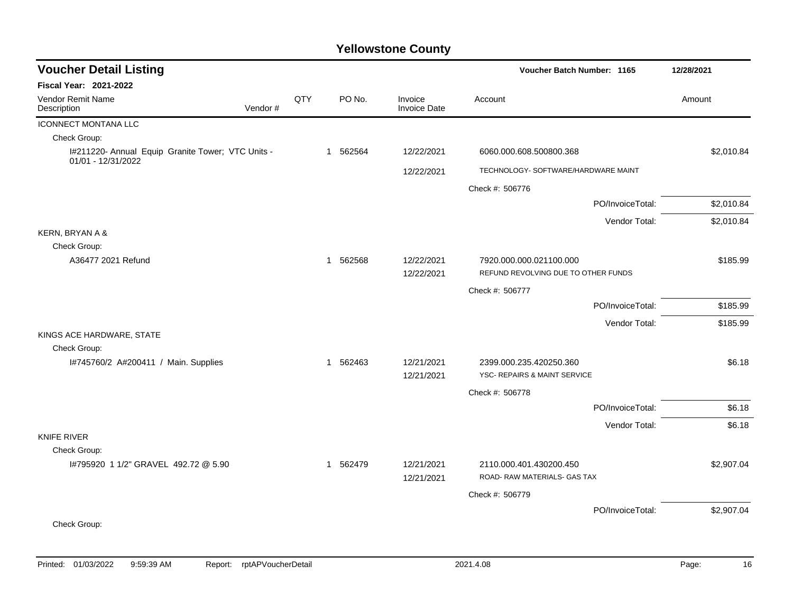| <b>Voucher Detail Listing</b>        |                                                   |     |                       |                                | Voucher Batch Number: 1165                              | 12/28/2021       |            |  |
|--------------------------------------|---------------------------------------------------|-----|-----------------------|--------------------------------|---------------------------------------------------------|------------------|------------|--|
| <b>Fiscal Year: 2021-2022</b>        |                                                   |     |                       |                                |                                                         |                  |            |  |
| Vendor Remit Name<br>Description     | Vendor#                                           | QTY | PO No.                | Invoice<br><b>Invoice Date</b> | Account                                                 | Amount           |            |  |
| <b>ICONNECT MONTANA LLC</b>          |                                                   |     |                       |                                |                                                         |                  |            |  |
| Check Group:                         |                                                   |     |                       |                                |                                                         |                  |            |  |
| 01/01 - 12/31/2022                   | I#211220- Annual Equip Granite Tower; VTC Units - |     | 562564<br>1           | 12/22/2021                     | 6060.000.608.500800.368                                 |                  | \$2,010.84 |  |
|                                      |                                                   |     |                       | 12/22/2021                     | TECHNOLOGY- SOFTWARE/HARDWARE MAINT                     |                  |            |  |
|                                      |                                                   |     |                       |                                | Check #: 506776                                         |                  |            |  |
|                                      |                                                   |     |                       |                                |                                                         | PO/InvoiceTotal: | \$2,010.84 |  |
|                                      |                                                   |     |                       |                                |                                                         | Vendor Total:    | \$2,010.84 |  |
| KERN, BRYAN A &                      |                                                   |     |                       |                                |                                                         |                  |            |  |
| Check Group:                         |                                                   |     |                       |                                |                                                         |                  |            |  |
| A36477 2021 Refund                   |                                                   |     | 1 562568              | 12/22/2021                     | 7920.000.000.021100.000                                 |                  | \$185.99   |  |
|                                      |                                                   |     |                       | 12/22/2021                     | REFUND REVOLVING DUE TO OTHER FUNDS                     |                  |            |  |
|                                      |                                                   |     |                       |                                | Check #: 506777                                         |                  |            |  |
|                                      |                                                   |     |                       |                                |                                                         | PO/InvoiceTotal: | \$185.99   |  |
|                                      |                                                   |     |                       |                                |                                                         | Vendor Total:    | \$185.99   |  |
| KINGS ACE HARDWARE, STATE            |                                                   |     |                       |                                |                                                         |                  |            |  |
| Check Group:                         |                                                   |     |                       |                                |                                                         |                  |            |  |
| I#745760/2 A#200411 / Main. Supplies |                                                   |     | 562463<br>$\mathbf 1$ | 12/21/2021                     | 2399.000.235.420250.360                                 |                  | \$6.18     |  |
|                                      |                                                   |     |                       | 12/21/2021                     | <b>YSC- REPAIRS &amp; MAINT SERVICE</b>                 |                  |            |  |
|                                      |                                                   |     |                       |                                | Check #: 506778                                         |                  |            |  |
|                                      |                                                   |     |                       |                                |                                                         | PO/InvoiceTotal: | \$6.18     |  |
|                                      |                                                   |     |                       |                                |                                                         | Vendor Total:    | \$6.18     |  |
| <b>KNIFE RIVER</b>                   |                                                   |     |                       |                                |                                                         |                  |            |  |
| Check Group:                         |                                                   |     |                       |                                |                                                         |                  |            |  |
| 1#795920 1 1/2" GRAVEL 492.72 @ 5.90 |                                                   |     | 1 562479              | 12/21/2021<br>12/21/2021       | 2110.000.401.430200.450<br>ROAD- RAW MATERIALS- GAS TAX |                  | \$2,907.04 |  |
|                                      |                                                   |     |                       |                                | Check #: 506779                                         |                  |            |  |
|                                      |                                                   |     |                       |                                |                                                         | PO/InvoiceTotal: | \$2,907.04 |  |
| Check Group:                         |                                                   |     |                       |                                |                                                         |                  |            |  |
|                                      |                                                   |     |                       |                                |                                                         |                  |            |  |
|                                      |                                                   |     |                       |                                |                                                         |                  |            |  |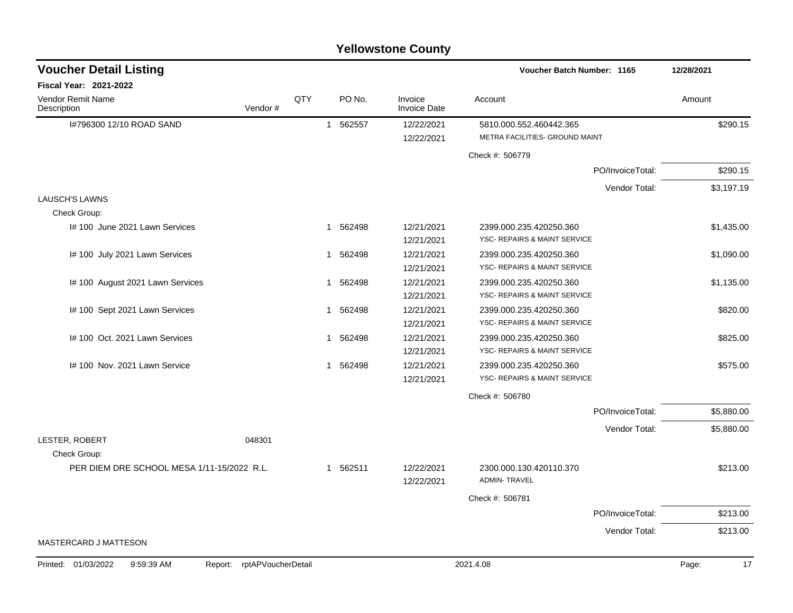#### I#796300 12/10 ROAD SAND 1 562557 12/22/2021 5810.000.552.460442.365 \$290.15 12/22/2021 METRA FACILITIES- GROUND MAINT Check #: 506779 PO/InvoiceTotal: \$290.15 Vendor Total: \$3,197.19 LAUSCH'S LAWNS Check Group: I# 100 June 2021 Lawn Services 6. 1 562498 12/21/2021 2399.000.235.420250.360 51.435.00 12/21/2021 YSC- REPAIRS & MAINT SERVICE I# 100 July 2021 Lawn Services 1 1 562498 12/21/2021 2399.000.235.420250.360 51,090.00 12/21/2021 YSC- REPAIRS & MAINT SERVICE I# 100 August 2021 Lawn Services 1 1 562498 12/21/2021 2399.000.235.420250.360 51,135.00 12/21/2021 YSC- REPAIRS & MAINT SERVICE I# 100 Sept 2021 Lawn Services 1 1 562498 12/21/2021 2399.000.235.420250.360 \$820.00 12/21/2021 YSC- REPAIRS & MAINT SERVICE I# 100 Oct. 2021 Lawn Services 1 1 562498 12/21/2021 2399.000.235.420250.360 \$825.00 12/21/2021 YSC- REPAIRS & MAINT SERVICE I# 100 Nov. 2021 Lawn Service 1 1 562498 12/21/2021 2399.000.235.420250.360 12/21/2021 YSC- REPAIRS & MAINT SERVICE Check #: 506780 PO/InvoiceTotal: \$5,880.00 Vendor Total: \$5,880.00 LESTER, ROBERT 048301 Check Group: PER DIEM DRE SCHOOL MESA 1/11-15/2022 R.L. 1 1 1 1 1 562511 12/22/2021 12:00 000 130.420110.370 5213.00 12/22/2021 ADMIN- TRAVEL Check #: 506781 PO/InvoiceTotal: \$213.00 Vendor Total: \$213.00 MASTERCARD J MATTESON **Voucher Batch Number: Yellowstone County** Vendor Remit Name **Description Voucher Detail Listing Fiscal Year: 2021-2022 1165 12/28/2021** PO No. Invoice Account Amount Amount Amount Amount Vendor # **QTY** Invoice Date Printed: 01/03/2022 9:59:39 AM Report: rptAPVoucherDetail 2021.4.08 2021.4.08 Page: 17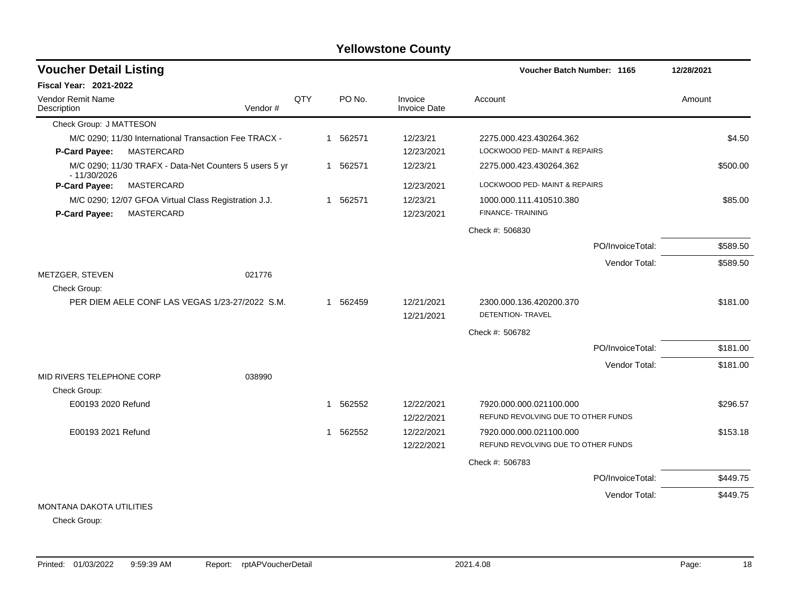| <b>Voucher Detail Listing</b>                                           |         |     |             |          |                                | Voucher Batch Number: 1165          |                  | 12/28/2021 |
|-------------------------------------------------------------------------|---------|-----|-------------|----------|--------------------------------|-------------------------------------|------------------|------------|
| <b>Fiscal Year: 2021-2022</b>                                           |         |     |             |          |                                |                                     |                  |            |
| Vendor Remit Name<br>Description                                        | Vendor# | QTY |             | PO No.   | Invoice<br><b>Invoice Date</b> | Account                             |                  | Amount     |
| Check Group: J MATTESON                                                 |         |     |             |          |                                |                                     |                  |            |
| M/C 0290; 11/30 International Transaction Fee TRACX -                   |         |     |             | 1 562571 | 12/23/21                       | 2275.000.423.430264.362             |                  | \$4.50     |
| MASTERCARD<br>P-Card Payee:                                             |         |     |             |          | 12/23/2021                     | LOCKWOOD PED-MAINT & REPAIRS        |                  |            |
| M/C 0290; 11/30 TRAFX - Data-Net Counters 5 users 5 yr<br>$-11/30/2026$ |         |     |             | 1 562571 | 12/23/21                       | 2275.000.423.430264.362             |                  | \$500.00   |
| P-Card Payee:<br>MASTERCARD                                             |         |     |             |          | 12/23/2021                     | LOCKWOOD PED- MAINT & REPAIRS       |                  |            |
| M/C 0290; 12/07 GFOA Virtual Class Registration J.J.                    |         |     | 1           | 562571   | 12/23/21                       | 1000.000.111.410510.380             |                  | \$85.00    |
| P-Card Payee:<br><b>MASTERCARD</b>                                      |         |     |             |          | 12/23/2021                     | FINANCE-TRAINING                    |                  |            |
|                                                                         |         |     |             |          |                                | Check #: 506830                     |                  |            |
|                                                                         |         |     |             |          |                                |                                     | PO/InvoiceTotal: | \$589.50   |
|                                                                         |         |     |             |          |                                |                                     | Vendor Total:    | \$589.50   |
| METZGER, STEVEN                                                         | 021776  |     |             |          |                                |                                     |                  |            |
| Check Group:                                                            |         |     |             |          |                                |                                     |                  |            |
| PER DIEM AELE CONF LAS VEGAS 1/23-27/2022 S.M.                          |         |     |             | 1 562459 | 12/21/2021                     | 2300.000.136.420200.370             |                  | \$181.00   |
|                                                                         |         |     |             |          | 12/21/2021                     | DETENTION- TRAVEL                   |                  |            |
|                                                                         |         |     |             |          |                                | Check #: 506782                     |                  |            |
|                                                                         |         |     |             |          |                                |                                     | PO/InvoiceTotal: | \$181.00   |
|                                                                         |         |     |             |          |                                |                                     | Vendor Total:    | \$181.00   |
| MID RIVERS TELEPHONE CORP                                               | 038990  |     |             |          |                                |                                     |                  |            |
| Check Group:                                                            |         |     |             |          |                                |                                     |                  |            |
| E00193 2020 Refund                                                      |         |     | $\mathbf 1$ | 562552   | 12/22/2021                     | 7920.000.000.021100.000             |                  | \$296.57   |
|                                                                         |         |     |             |          | 12/22/2021                     | REFUND REVOLVING DUE TO OTHER FUNDS |                  |            |
| E00193 2021 Refund                                                      |         |     | 1           | 562552   | 12/22/2021                     | 7920.000.000.021100.000             |                  | \$153.18   |
|                                                                         |         |     |             |          | 12/22/2021                     | REFUND REVOLVING DUE TO OTHER FUNDS |                  |            |
|                                                                         |         |     |             |          |                                | Check #: 506783                     |                  |            |
|                                                                         |         |     |             |          |                                |                                     | PO/InvoiceTotal: | \$449.75   |
| <b>MONTANA DAKOTA UTILITIES</b>                                         |         |     |             |          |                                |                                     | Vendor Total:    | \$449.75   |

Check Group: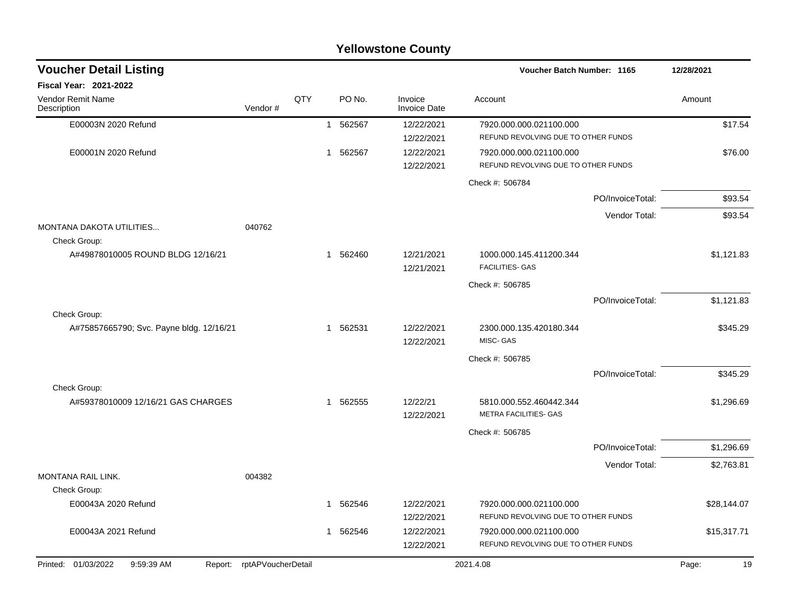|                                                   |                    |     |                        | <b>Yellowstone County</b>      |                                                                |                  |             |
|---------------------------------------------------|--------------------|-----|------------------------|--------------------------------|----------------------------------------------------------------|------------------|-------------|
| <b>Voucher Detail Listing</b>                     |                    |     |                        |                                | Voucher Batch Number: 1165                                     |                  | 12/28/2021  |
| Fiscal Year: 2021-2022                            |                    |     |                        |                                |                                                                |                  |             |
| Vendor Remit Name<br>Description                  | Vendor#            | QTY | PO No.                 | Invoice<br><b>Invoice Date</b> | Account                                                        |                  | Amount      |
| E00003N 2020 Refund                               |                    |     | 562567<br>1            | 12/22/2021                     | 7920.000.000.021100.000                                        |                  | \$17.54     |
|                                                   |                    |     |                        | 12/22/2021                     | REFUND REVOLVING DUE TO OTHER FUNDS                            |                  |             |
| E00001N 2020 Refund                               |                    |     | 562567<br>$\mathbf{1}$ | 12/22/2021<br>12/22/2021       | 7920.000.000.021100.000<br>REFUND REVOLVING DUE TO OTHER FUNDS |                  | \$76.00     |
|                                                   |                    |     |                        |                                | Check #: 506784                                                |                  |             |
|                                                   |                    |     |                        |                                |                                                                | PO/InvoiceTotal: | \$93.54     |
|                                                   |                    |     |                        |                                |                                                                | Vendor Total:    | \$93.54     |
| MONTANA DAKOTA UTILITIES                          | 040762             |     |                        |                                |                                                                |                  |             |
| Check Group:<br>A#49878010005 ROUND BLDG 12/16/21 |                    |     | 562460<br>$\mathbf{1}$ | 12/21/2021                     | 1000.000.145.411200.344                                        |                  | \$1,121.83  |
|                                                   |                    |     |                        | 12/21/2021                     | <b>FACILITIES- GAS</b>                                         |                  |             |
|                                                   |                    |     |                        |                                | Check #: 506785                                                |                  |             |
|                                                   |                    |     |                        |                                |                                                                | PO/InvoiceTotal: | \$1,121.83  |
| Check Group:                                      |                    |     |                        |                                |                                                                |                  |             |
| A#75857665790; Svc. Payne bldg. 12/16/21          |                    |     | 562531<br>1            | 12/22/2021<br>12/22/2021       | 2300.000.135.420180.344<br>MISC-GAS                            |                  | \$345.29    |
|                                                   |                    |     |                        |                                | Check #: 506785                                                |                  |             |
|                                                   |                    |     |                        |                                |                                                                | PO/InvoiceTotal: | \$345.29    |
| Check Group:                                      |                    |     |                        |                                |                                                                |                  |             |
| A#59378010009 12/16/21 GAS CHARGES                |                    |     | 562555<br>1            | 12/22/21<br>12/22/2021         | 5810.000.552.460442.344<br>METRA FACILITIES- GAS               |                  | \$1,296.69  |
|                                                   |                    |     |                        |                                | Check #: 506785                                                |                  |             |
|                                                   |                    |     |                        |                                |                                                                | PO/InvoiceTotal: | \$1,296.69  |
|                                                   |                    |     |                        |                                |                                                                | Vendor Total:    | \$2,763.81  |
| MONTANA RAIL LINK.                                | 004382             |     |                        |                                |                                                                |                  |             |
| Check Group:<br>E00043A 2020 Refund               |                    |     |                        | 12/22/2021                     | 7920.000.000.021100.000                                        |                  |             |
|                                                   |                    |     | 1 562546               | 12/22/2021                     | REFUND REVOLVING DUE TO OTHER FUNDS                            |                  | \$28,144.07 |
| E00043A 2021 Refund                               |                    |     | 1 562546               | 12/22/2021                     | 7920.000.000.021100.000                                        |                  | \$15,317.71 |
|                                                   |                    |     |                        | 12/22/2021                     | REFUND REVOLVING DUE TO OTHER FUNDS                            |                  |             |
| Printed: 01/03/2022<br>9:59:39 AM<br>Report:      | rptAPVoucherDetail |     |                        |                                | 2021.4.08                                                      |                  | 19<br>Page: |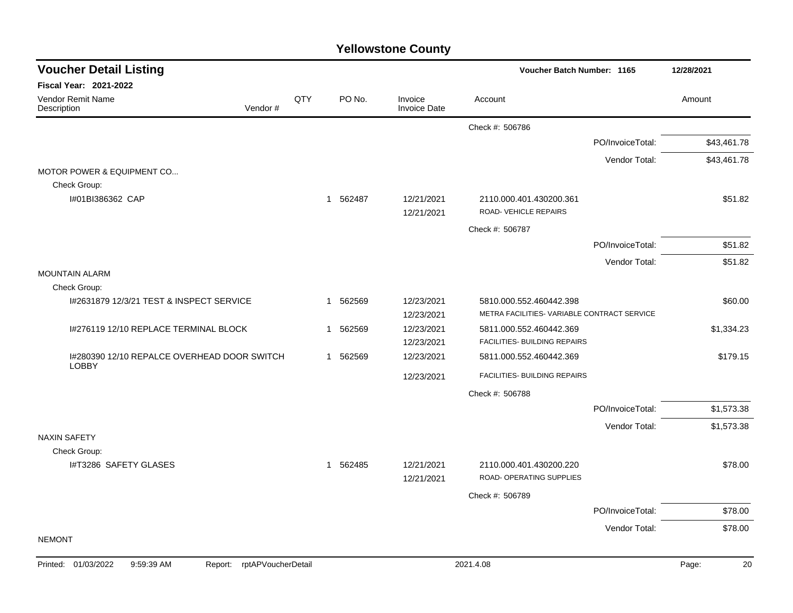| QTY | PO No. | Invoice<br><b>Invoice Date</b>                               | Account                                                                                                      |                                                                                                                                                | Amount                                                                                                                                           |
|-----|--------|--------------------------------------------------------------|--------------------------------------------------------------------------------------------------------------|------------------------------------------------------------------------------------------------------------------------------------------------|--------------------------------------------------------------------------------------------------------------------------------------------------|
|     |        |                                                              |                                                                                                              |                                                                                                                                                |                                                                                                                                                  |
|     |        |                                                              |                                                                                                              |                                                                                                                                                |                                                                                                                                                  |
|     |        |                                                              | Check #: 506786                                                                                              |                                                                                                                                                |                                                                                                                                                  |
|     |        |                                                              |                                                                                                              | PO/InvoiceTotal:                                                                                                                               | \$43,461.78                                                                                                                                      |
|     |        |                                                              |                                                                                                              | Vendor Total:                                                                                                                                  | \$43,461.78                                                                                                                                      |
|     |        |                                                              |                                                                                                              |                                                                                                                                                |                                                                                                                                                  |
|     |        |                                                              |                                                                                                              |                                                                                                                                                |                                                                                                                                                  |
|     |        | 12/21/2021                                                   | ROAD-VEHICLE REPAIRS                                                                                         |                                                                                                                                                | \$51.82                                                                                                                                          |
|     |        |                                                              | Check #: 506787                                                                                              |                                                                                                                                                |                                                                                                                                                  |
|     |        |                                                              |                                                                                                              | PO/InvoiceTotal:                                                                                                                               | \$51.82                                                                                                                                          |
|     |        |                                                              |                                                                                                              | Vendor Total:                                                                                                                                  | \$51.82                                                                                                                                          |
|     |        |                                                              |                                                                                                              |                                                                                                                                                |                                                                                                                                                  |
|     |        |                                                              |                                                                                                              |                                                                                                                                                |                                                                                                                                                  |
|     | 562569 | 12/23/2021                                                   | 5810.000.552.460442.398                                                                                      |                                                                                                                                                | \$60.00                                                                                                                                          |
|     |        |                                                              |                                                                                                              |                                                                                                                                                |                                                                                                                                                  |
|     |        |                                                              |                                                                                                              |                                                                                                                                                | \$1,334.23                                                                                                                                       |
|     |        |                                                              |                                                                                                              |                                                                                                                                                |                                                                                                                                                  |
|     |        |                                                              |                                                                                                              |                                                                                                                                                | \$179.15                                                                                                                                         |
|     |        |                                                              |                                                                                                              |                                                                                                                                                |                                                                                                                                                  |
|     |        |                                                              |                                                                                                              |                                                                                                                                                |                                                                                                                                                  |
|     |        |                                                              |                                                                                                              |                                                                                                                                                | \$1,573.38                                                                                                                                       |
|     |        |                                                              |                                                                                                              | Vendor Total:                                                                                                                                  | \$1,573.38                                                                                                                                       |
|     |        |                                                              |                                                                                                              |                                                                                                                                                |                                                                                                                                                  |
|     |        |                                                              |                                                                                                              |                                                                                                                                                | \$78.00                                                                                                                                          |
|     |        |                                                              | ROAD- OPERATING SUPPLIES                                                                                     |                                                                                                                                                |                                                                                                                                                  |
|     |        |                                                              |                                                                                                              |                                                                                                                                                |                                                                                                                                                  |
|     |        |                                                              |                                                                                                              | PO/InvoiceTotal:                                                                                                                               | \$78.00                                                                                                                                          |
|     |        |                                                              |                                                                                                              |                                                                                                                                                | \$78.00                                                                                                                                          |
|     |        |                                                              |                                                                                                              |                                                                                                                                                |                                                                                                                                                  |
|     |        | 1 562487<br>$\mathbf{1}$<br>1 562569<br>1 562569<br>1 562485 | 12/21/2021<br>12/23/2021<br>12/23/2021<br>12/23/2021<br>12/23/2021<br>12/23/2021<br>12/21/2021<br>12/21/2021 | 2110.000.401.430200.361<br>5811.000.552.460442.369<br>5811.000.552.460442.369<br>Check #: 506788<br>2110.000.401.430200.220<br>Check #: 506789 | METRA FACILITIES- VARIABLE CONTRACT SERVICE<br>FACILITIES- BUILDING REPAIRS<br>FACILITIES- BUILDING REPAIRS<br>PO/InvoiceTotal:<br>Vendor Total: |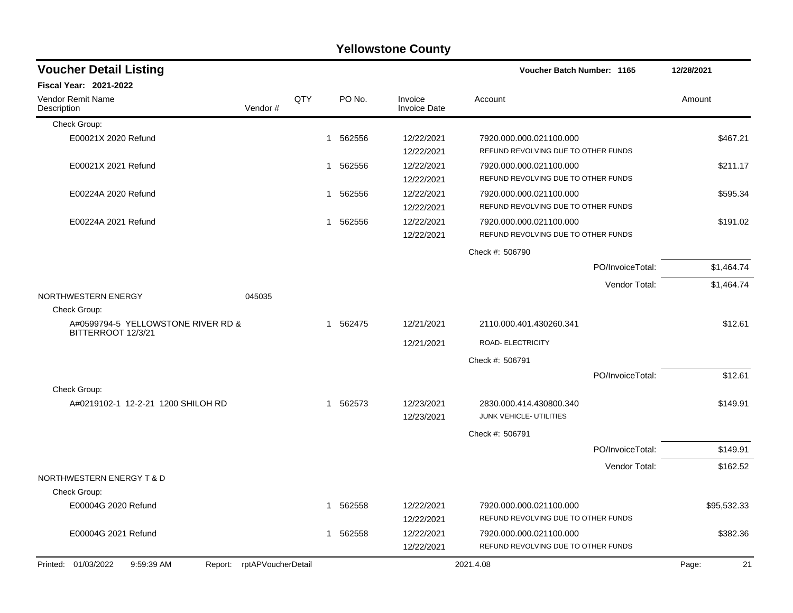|                                              |                    |     |             | <b>Yellowstone County</b>      |                                                                |                  |             |
|----------------------------------------------|--------------------|-----|-------------|--------------------------------|----------------------------------------------------------------|------------------|-------------|
| <b>Voucher Detail Listing</b>                |                    |     |             |                                | Voucher Batch Number: 1165                                     |                  | 12/28/2021  |
| Fiscal Year: 2021-2022                       |                    |     |             |                                |                                                                |                  |             |
| Vendor Remit Name<br>Description             | Vendor#            | QTY | PO No.      | Invoice<br><b>Invoice Date</b> | Account                                                        |                  | Amount      |
| Check Group:                                 |                    |     |             |                                |                                                                |                  |             |
| E00021X 2020 Refund                          |                    |     | 562556<br>1 | 12/22/2021<br>12/22/2021       | 7920.000.000.021100.000<br>REFUND REVOLVING DUE TO OTHER FUNDS |                  | \$467.21    |
| E00021X 2021 Refund                          |                    |     | 562556<br>1 | 12/22/2021<br>12/22/2021       | 7920.000.000.021100.000<br>REFUND REVOLVING DUE TO OTHER FUNDS |                  | \$211.17    |
| E00224A 2020 Refund                          |                    |     | 562556<br>1 | 12/22/2021<br>12/22/2021       | 7920.000.000.021100.000<br>REFUND REVOLVING DUE TO OTHER FUNDS |                  | \$595.34    |
| E00224A 2021 Refund                          |                    |     | 562556<br>1 | 12/22/2021<br>12/22/2021       | 7920.000.000.021100.000<br>REFUND REVOLVING DUE TO OTHER FUNDS |                  | \$191.02    |
|                                              |                    |     |             |                                | Check #: 506790                                                |                  |             |
|                                              |                    |     |             |                                |                                                                | PO/InvoiceTotal: | \$1,464.74  |
|                                              |                    |     |             |                                |                                                                | Vendor Total:    | \$1,464.74  |
| NORTHWESTERN ENERGY<br>Check Group:          | 045035             |     |             |                                |                                                                |                  |             |
| A#0599794-5 YELLOWSTONE RIVER RD &           |                    |     | 562475<br>1 | 12/21/2021                     | 2110.000.401.430260.341                                        |                  | \$12.61     |
| BITTERROOT 12/3/21                           |                    |     |             | 12/21/2021                     | ROAD- ELECTRICITY                                              |                  |             |
|                                              |                    |     |             |                                | Check #: 506791                                                |                  |             |
|                                              |                    |     |             |                                |                                                                | PO/InvoiceTotal: | \$12.61     |
| Check Group:                                 |                    |     |             |                                |                                                                |                  |             |
| A#0219102-1 12-2-21 1200 SHILOH RD           |                    |     | 1 562573    | 12/23/2021<br>12/23/2021       | 2830.000.414.430800.340<br>JUNK VEHICLE- UTILITIES             |                  | \$149.91    |
|                                              |                    |     |             |                                | Check #: 506791                                                |                  |             |
|                                              |                    |     |             |                                |                                                                | PO/InvoiceTotal: | \$149.91    |
|                                              |                    |     |             |                                |                                                                | Vendor Total:    | \$162.52    |
| NORTHWESTERN ENERGY T & D                    |                    |     |             |                                |                                                                |                  |             |
| Check Group:                                 |                    |     |             |                                |                                                                |                  |             |
| E00004G 2020 Refund                          |                    |     | 562558<br>1 | 12/22/2021<br>12/22/2021       | 7920.000.000.021100.000<br>REFUND REVOLVING DUE TO OTHER FUNDS |                  | \$95,532.33 |
| E00004G 2021 Refund                          |                    |     | 562558<br>1 | 12/22/2021                     | 7920.000.000.021100.000                                        |                  | \$382.36    |
|                                              |                    |     |             | 12/22/2021                     | REFUND REVOLVING DUE TO OTHER FUNDS                            |                  |             |
| Printed: 01/03/2022<br>9:59:39 AM<br>Report: | rptAPVoucherDetail |     |             |                                | 2021.4.08                                                      |                  | Page:<br>21 |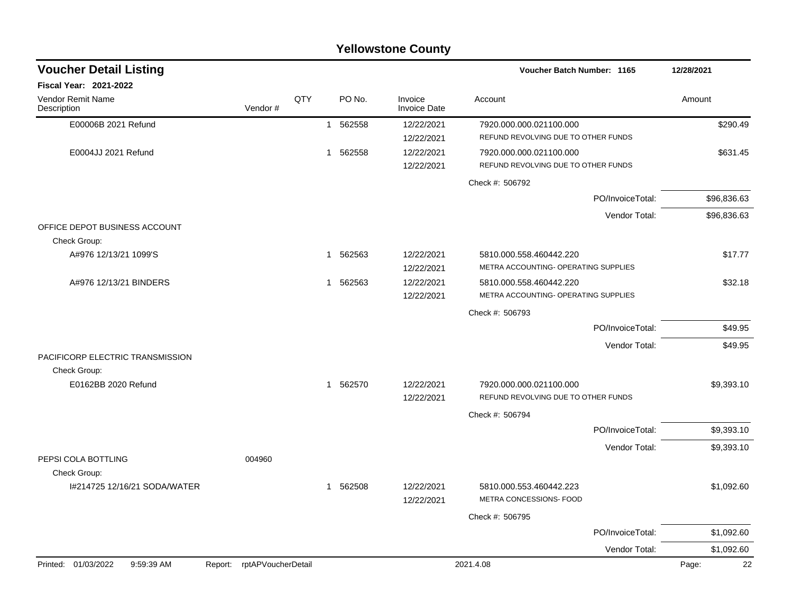|                                                  |                            |     |                        | <b>Yellowstone County</b>      |                                                                 |             |
|--------------------------------------------------|----------------------------|-----|------------------------|--------------------------------|-----------------------------------------------------------------|-------------|
| <b>Voucher Detail Listing</b>                    |                            |     |                        |                                | Voucher Batch Number: 1165                                      | 12/28/2021  |
| Fiscal Year: 2021-2022                           |                            |     |                        |                                |                                                                 |             |
| Vendor Remit Name<br>Description                 | Vendor#                    | QTY | PO No.                 | Invoice<br><b>Invoice Date</b> | Account                                                         | Amount      |
| E00006B 2021 Refund                              |                            |     | 562558<br>1            | 12/22/2021<br>12/22/2021       | 7920.000.000.021100.000<br>REFUND REVOLVING DUE TO OTHER FUNDS  | \$290.49    |
| E0004JJ 2021 Refund                              |                            |     | 562558<br>1            | 12/22/2021<br>12/22/2021       | 7920.000.000.021100.000<br>REFUND REVOLVING DUE TO OTHER FUNDS  | \$631.45    |
|                                                  |                            |     |                        |                                | Check #: 506792                                                 |             |
|                                                  |                            |     |                        |                                | PO/InvoiceTotal:                                                | \$96,836.63 |
|                                                  |                            |     |                        |                                | Vendor Total:                                                   | \$96,836.63 |
| OFFICE DEPOT BUSINESS ACCOUNT<br>Check Group:    |                            |     |                        |                                |                                                                 |             |
| A#976 12/13/21 1099'S                            |                            |     | 562563<br>1.           | 12/22/2021<br>12/22/2021       | 5810.000.558.460442.220<br>METRA ACCOUNTING- OPERATING SUPPLIES | \$17.77     |
| A#976 12/13/21 BINDERS                           |                            |     | 562563<br>$\mathbf{1}$ | 12/22/2021<br>12/22/2021       | 5810.000.558.460442.220<br>METRA ACCOUNTING- OPERATING SUPPLIES | \$32.18     |
|                                                  |                            |     |                        |                                | Check #: 506793                                                 |             |
|                                                  |                            |     |                        |                                | PO/InvoiceTotal:                                                | \$49.95     |
|                                                  |                            |     |                        |                                | Vendor Total:                                                   | \$49.95     |
| PACIFICORP ELECTRIC TRANSMISSION<br>Check Group: |                            |     |                        |                                |                                                                 |             |
| E0162BB 2020 Refund                              |                            |     | 562570<br>1            | 12/22/2021                     | 7920.000.000.021100.000<br>REFUND REVOLVING DUE TO OTHER FUNDS  | \$9,393.10  |
|                                                  |                            |     |                        | 12/22/2021                     | Check #: 506794                                                 |             |
|                                                  |                            |     |                        |                                | PO/InvoiceTotal:                                                | \$9,393.10  |
|                                                  |                            |     |                        |                                | Vendor Total:                                                   | \$9,393.10  |
| PEPSI COLA BOTTLING                              | 004960                     |     |                        |                                |                                                                 |             |
| Check Group:                                     |                            |     |                        |                                |                                                                 |             |
| I#214725 12/16/21 SODA/WATER                     |                            |     | 1 562508               | 12/22/2021<br>12/22/2021       | 5810.000.553.460442.223<br>METRA CONCESSIONS- FOOD              | \$1,092.60  |
|                                                  |                            |     |                        |                                | Check #: 506795                                                 |             |
|                                                  |                            |     |                        |                                | PO/InvoiceTotal:                                                | \$1,092.60  |
|                                                  |                            |     |                        |                                | Vendor Total:                                                   | \$1,092.60  |
| Printed: 01/03/2022<br>9:59:39 AM                | Report: rptAPVoucherDetail |     |                        |                                | 2021.4.08                                                       | 22<br>Page: |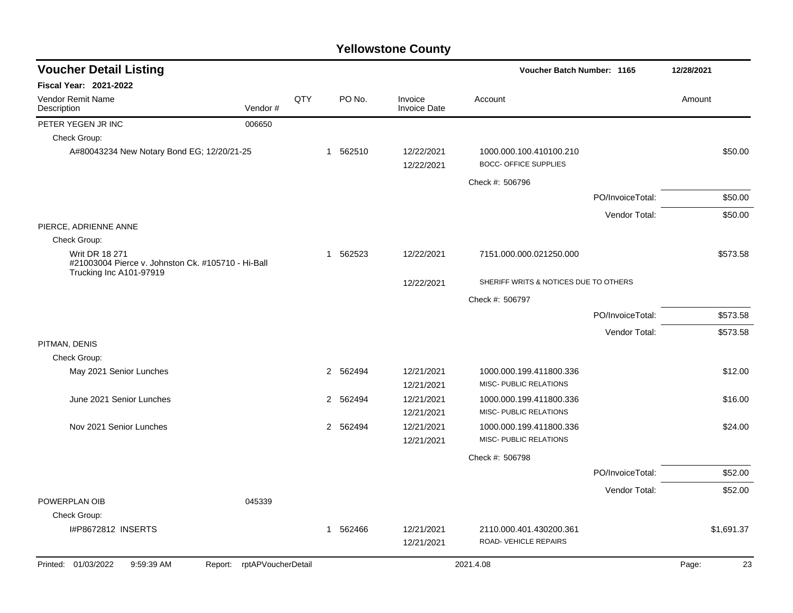| <b>Voucher Detail Listing</b>                                                                          |                    |     |                          |                                |                                                         | Voucher Batch Number: 1165 |             |  |
|--------------------------------------------------------------------------------------------------------|--------------------|-----|--------------------------|--------------------------------|---------------------------------------------------------|----------------------------|-------------|--|
| Fiscal Year: 2021-2022                                                                                 |                    |     |                          |                                |                                                         |                            |             |  |
| Vendor Remit Name<br>Description                                                                       | Vendor#            | QTY | PO No.                   | Invoice<br><b>Invoice Date</b> | Account                                                 |                            | Amount      |  |
| PETER YEGEN JR INC                                                                                     | 006650             |     |                          |                                |                                                         |                            |             |  |
| Check Group:                                                                                           |                    |     |                          |                                |                                                         |                            |             |  |
| A#80043234 New Notary Bond EG; 12/20/21-25                                                             |                    |     | 1 562510                 | 12/22/2021<br>12/22/2021       | 1000.000.100.410100.210<br><b>BOCC- OFFICE SUPPLIES</b> |                            | \$50.00     |  |
|                                                                                                        |                    |     |                          |                                | Check #: 506796                                         |                            |             |  |
|                                                                                                        |                    |     |                          |                                |                                                         | PO/InvoiceTotal:           | \$50.00     |  |
|                                                                                                        |                    |     |                          |                                |                                                         | Vendor Total:              | \$50.00     |  |
| PIERCE, ADRIENNE ANNE                                                                                  |                    |     |                          |                                |                                                         |                            |             |  |
| Check Group:                                                                                           |                    |     |                          |                                |                                                         |                            |             |  |
| <b>Writ DR 18 271</b><br>#21003004 Pierce v. Johnston Ck. #105710 - Hi-Ball<br>Trucking Inc A101-97919 |                    |     | 562523<br>1              | 12/22/2021                     | 7151.000.000.021250.000                                 |                            | \$573.58    |  |
|                                                                                                        |                    |     |                          | 12/22/2021                     | SHERIFF WRITS & NOTICES DUE TO OTHERS                   |                            |             |  |
|                                                                                                        |                    |     |                          |                                | Check #: 506797                                         |                            |             |  |
|                                                                                                        |                    |     |                          |                                |                                                         | PO/InvoiceTotal:           | \$573.58    |  |
|                                                                                                        |                    |     |                          |                                |                                                         | Vendor Total:              | \$573.58    |  |
| PITMAN, DENIS                                                                                          |                    |     |                          |                                |                                                         |                            |             |  |
| Check Group:                                                                                           |                    |     |                          |                                |                                                         |                            |             |  |
| May 2021 Senior Lunches                                                                                |                    |     | $\overline{2}$<br>562494 | 12/21/2021<br>12/21/2021       | 1000.000.199.411800.336<br>MISC- PUBLIC RELATIONS       |                            | \$12.00     |  |
| June 2021 Senior Lunches                                                                               |                    |     | 562494<br>$\overline{2}$ | 12/21/2021                     | 1000.000.199.411800.336                                 |                            | \$16.00     |  |
|                                                                                                        |                    |     |                          | 12/21/2021                     | MISC- PUBLIC RELATIONS                                  |                            |             |  |
| Nov 2021 Senior Lunches                                                                                |                    |     | 2<br>562494              | 12/21/2021                     | 1000.000.199.411800.336                                 |                            | \$24.00     |  |
|                                                                                                        |                    |     |                          | 12/21/2021                     | MISC- PUBLIC RELATIONS                                  |                            |             |  |
|                                                                                                        |                    |     |                          |                                | Check #: 506798                                         |                            |             |  |
|                                                                                                        |                    |     |                          |                                |                                                         | PO/InvoiceTotal:           | \$52.00     |  |
|                                                                                                        |                    |     |                          |                                |                                                         | Vendor Total:              | \$52.00     |  |
| POWERPLAN OIB                                                                                          | 045339             |     |                          |                                |                                                         |                            |             |  |
| Check Group:                                                                                           |                    |     |                          |                                |                                                         |                            |             |  |
| I#P8672812 INSERTS                                                                                     |                    |     | 562466<br>1              | 12/21/2021<br>12/21/2021       | 2110.000.401.430200.361<br>ROAD- VEHICLE REPAIRS        |                            | \$1,691.37  |  |
| Printed: 01/03/2022<br>9:59:39 AM<br>Report:                                                           | rptAPVoucherDetail |     |                          |                                | 2021.4.08                                               |                            | Page:<br>23 |  |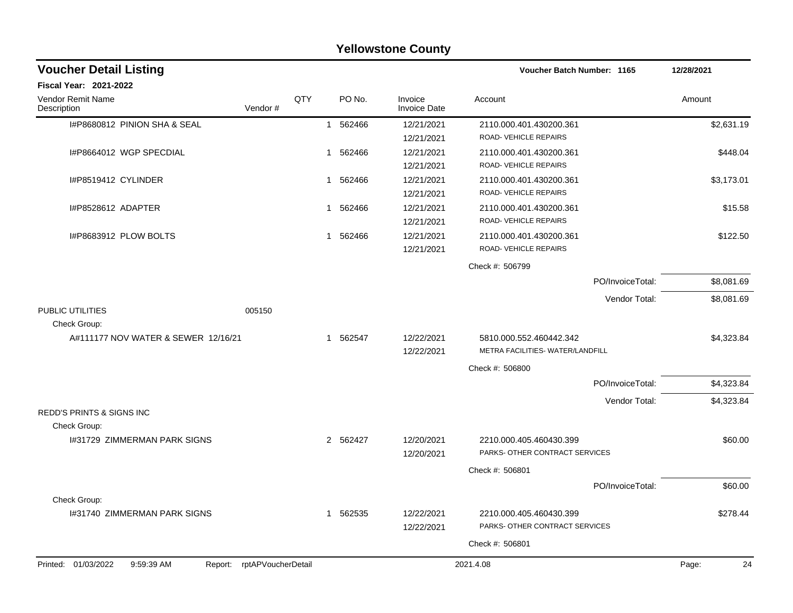|                                              |                    |            |              |          | <b>I GILOWSLUTE COUTLY</b>     |                                  |                  |             |
|----------------------------------------------|--------------------|------------|--------------|----------|--------------------------------|----------------------------------|------------------|-------------|
| <b>Voucher Detail Listing</b>                |                    |            |              |          |                                | Voucher Batch Number: 1165       |                  | 12/28/2021  |
| <b>Fiscal Year: 2021-2022</b>                |                    |            |              |          |                                |                                  |                  |             |
| Vendor Remit Name<br>Description             | Vendor#            | <b>OTY</b> |              | PO No.   | Invoice<br><b>Invoice Date</b> | Account                          |                  | Amount      |
| I#P8680812 PINION SHA & SEAL                 |                    |            | $\mathbf{1}$ | 562466   | 12/21/2021                     | 2110.000.401.430200.361          |                  | \$2,631.19  |
|                                              |                    |            |              |          | 12/21/2021                     | ROAD-VEHICLE REPAIRS             |                  |             |
| I#P8664012 WGP SPECDIAL                      |                    |            | $\mathbf{1}$ | 562466   | 12/21/2021                     | 2110.000.401.430200.361          |                  | \$448.04    |
|                                              |                    |            |              |          | 12/21/2021                     | ROAD-VEHICLE REPAIRS             |                  |             |
| I#P8519412 CYLINDER                          |                    |            | 1            | 562466   | 12/21/2021                     | 2110.000.401.430200.361          |                  | \$3,173.01  |
|                                              |                    |            |              |          | 12/21/2021                     | ROAD-VEHICLE REPAIRS             |                  |             |
| I#P8528612 ADAPTER                           |                    |            | 1            | 562466   | 12/21/2021                     | 2110.000.401.430200.361          |                  | \$15.58     |
|                                              |                    |            |              |          | 12/21/2021                     | ROAD-VEHICLE REPAIRS             |                  |             |
| I#P8683912 PLOW BOLTS                        |                    |            |              | 1 562466 | 12/21/2021                     | 2110.000.401.430200.361          |                  | \$122.50    |
|                                              |                    |            |              |          | 12/21/2021                     | ROAD-VEHICLE REPAIRS             |                  |             |
|                                              |                    |            |              |          |                                | Check #: 506799                  |                  |             |
|                                              |                    |            |              |          |                                |                                  | PO/InvoiceTotal: | \$8,081.69  |
|                                              |                    |            |              |          |                                |                                  | Vendor Total:    | \$8,081.69  |
| PUBLIC UTILITIES                             | 005150             |            |              |          |                                |                                  |                  |             |
| Check Group:                                 |                    |            |              |          |                                |                                  |                  |             |
| A#111177 NOV WATER & SEWER 12/16/21          |                    |            |              | 1 562547 | 12/22/2021                     | 5810.000.552.460442.342          |                  | \$4,323.84  |
|                                              |                    |            |              |          | 12/22/2021                     | METRA FACILITIES- WATER/LANDFILL |                  |             |
|                                              |                    |            |              |          |                                | Check #: 506800                  |                  |             |
|                                              |                    |            |              |          |                                |                                  | PO/InvoiceTotal: | \$4,323.84  |
|                                              |                    |            |              |          |                                |                                  | Vendor Total:    | \$4,323.84  |
| <b>REDD'S PRINTS &amp; SIGNS INC</b>         |                    |            |              |          |                                |                                  |                  |             |
| Check Group:                                 |                    |            |              |          |                                |                                  |                  |             |
| 1#31729 ZIMMERMAN PARK SIGNS                 |                    |            |              | 2 562427 | 12/20/2021                     | 2210.000.405.460430.399          |                  | \$60.00     |
|                                              |                    |            |              |          | 12/20/2021                     | PARKS- OTHER CONTRACT SERVICES   |                  |             |
|                                              |                    |            |              |          |                                | Check #: 506801                  |                  |             |
|                                              |                    |            |              |          |                                |                                  | PO/InvoiceTotal: | \$60.00     |
| Check Group:                                 |                    |            |              |          |                                |                                  |                  |             |
| 1#31740 ZIMMERMAN PARK SIGNS                 |                    |            | 1            | 562535   | 12/22/2021                     | 2210.000.405.460430.399          |                  | \$278.44    |
|                                              |                    |            |              |          | 12/22/2021                     | PARKS- OTHER CONTRACT SERVICES   |                  |             |
|                                              |                    |            |              |          |                                | Check #: 506801                  |                  |             |
|                                              |                    |            |              |          |                                |                                  |                  |             |
| Printed: 01/03/2022<br>9:59:39 AM<br>Report: | rptAPVoucherDetail |            |              |          |                                | 2021.4.08                        |                  | Page:<br>24 |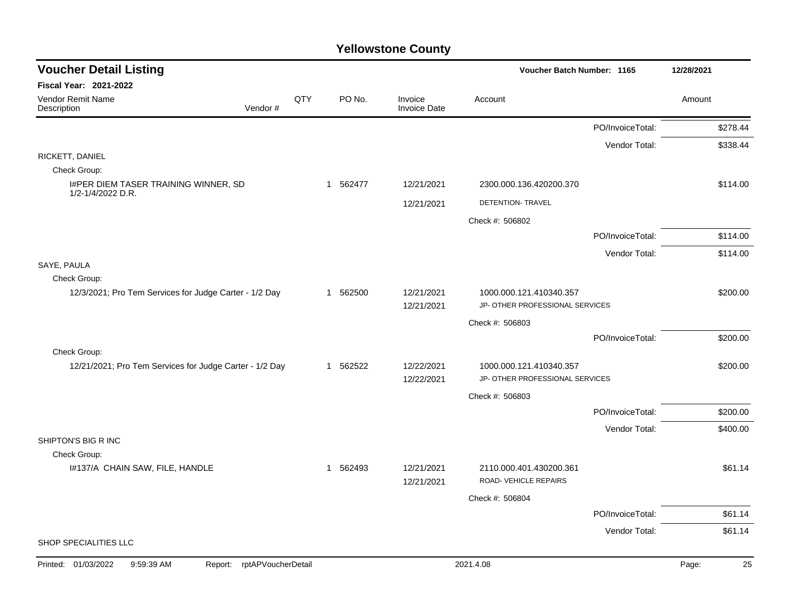| <b>Voucher Detail Listing</b>                                      |     |              |                                | Voucher Batch Number: 1165      |                  | 12/28/2021  |
|--------------------------------------------------------------------|-----|--------------|--------------------------------|---------------------------------|------------------|-------------|
| <b>Fiscal Year: 2021-2022</b>                                      |     |              |                                |                                 |                  |             |
| Vendor Remit Name<br>Vendor #<br>Description                       | QTY | PO No.       | Invoice<br><b>Invoice Date</b> | Account                         |                  | Amount      |
|                                                                    |     |              |                                |                                 | PO/InvoiceTotal: | \$278.44    |
|                                                                    |     |              |                                |                                 | Vendor Total:    | \$338.44    |
| RICKETT, DANIEL                                                    |     |              |                                |                                 |                  |             |
| Check Group:                                                       |     |              | 12/21/2021                     |                                 |                  |             |
| I#PER DIEM TASER TRAINING WINNER, SD<br>1/2-1/4/2022 D.R.          |     | 1 562477     |                                | 2300.000.136.420200.370         |                  | \$114.00    |
|                                                                    |     |              | 12/21/2021                     | DETENTION- TRAVEL               |                  |             |
|                                                                    |     |              |                                | Check #: 506802                 |                  |             |
|                                                                    |     |              |                                |                                 | PO/InvoiceTotal: | \$114.00    |
|                                                                    |     |              |                                |                                 | Vendor Total:    | \$114.00    |
| SAYE, PAULA<br>Check Group:                                        |     |              |                                |                                 |                  |             |
| 12/3/2021; Pro Tem Services for Judge Carter - 1/2 Day             |     | 1 562500     | 12/21/2021                     | 1000.000.121.410340.357         |                  | \$200.00    |
|                                                                    |     |              | 12/21/2021                     | JP- OTHER PROFESSIONAL SERVICES |                  |             |
|                                                                    |     |              |                                | Check #: 506803                 |                  |             |
|                                                                    |     |              |                                |                                 | PO/InvoiceTotal: | \$200.00    |
| Check Group:                                                       |     |              |                                |                                 |                  |             |
| 12/21/2021; Pro Tem Services for Judge Carter - 1/2 Day            |     | 1 562522     | 12/22/2021                     | 1000.000.121.410340.357         |                  | \$200.00    |
|                                                                    |     |              | 12/22/2021                     | JP- OTHER PROFESSIONAL SERVICES |                  |             |
|                                                                    |     |              |                                | Check #: 506803                 |                  |             |
|                                                                    |     |              |                                |                                 | PO/InvoiceTotal: | \$200.00    |
| SHIPTON'S BIG R INC                                                |     |              |                                |                                 | Vendor Total:    | \$400.00    |
| Check Group:                                                       |     |              |                                |                                 |                  |             |
| I#137/A CHAIN SAW, FILE, HANDLE                                    |     | 562493<br>-1 | 12/21/2021                     | 2110.000.401.430200.361         |                  | \$61.14     |
|                                                                    |     |              | 12/21/2021                     | ROAD- VEHICLE REPAIRS           |                  |             |
|                                                                    |     |              |                                | Check #: 506804                 |                  |             |
|                                                                    |     |              |                                |                                 | PO/InvoiceTotal: | \$61.14     |
|                                                                    |     |              |                                |                                 | Vendor Total:    | \$61.14     |
| SHOP SPECIALITIES LLC                                              |     |              |                                |                                 |                  |             |
| Printed: 01/03/2022<br>9:59:39 AM<br>rptAPVoucherDetail<br>Report: |     |              |                                | 2021.4.08                       |                  | Page:<br>25 |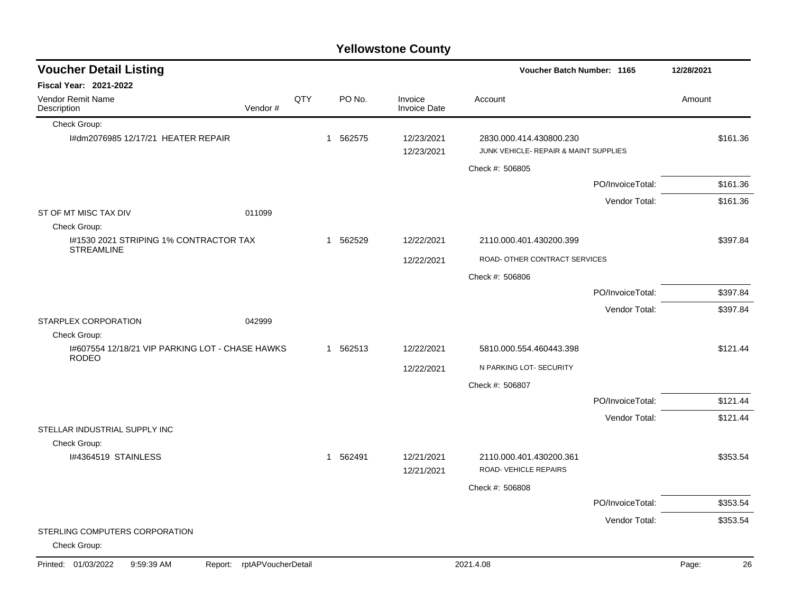|                                                                 |         |     |              |          | <b>Yellowstone County</b>      |                                                                  |                  |            |          |
|-----------------------------------------------------------------|---------|-----|--------------|----------|--------------------------------|------------------------------------------------------------------|------------------|------------|----------|
| <b>Voucher Detail Listing</b>                                   |         |     |              |          |                                | Voucher Batch Number: 1165                                       |                  | 12/28/2021 |          |
| <b>Fiscal Year: 2021-2022</b>                                   |         |     |              |          |                                |                                                                  |                  |            |          |
| Vendor Remit Name<br>Description                                | Vendor# | QTY |              | PO No.   | Invoice<br><b>Invoice Date</b> | Account                                                          |                  | Amount     |          |
| Check Group:                                                    |         |     |              |          |                                |                                                                  |                  |            |          |
| I#dm2076985 12/17/21 HEATER REPAIR                              |         |     | $\mathbf 1$  | 562575   | 12/23/2021<br>12/23/2021       | 2830.000.414.430800.230<br>JUNK VEHICLE- REPAIR & MAINT SUPPLIES |                  |            | \$161.36 |
|                                                                 |         |     |              |          |                                | Check #: 506805                                                  |                  |            |          |
|                                                                 |         |     |              |          |                                |                                                                  | PO/InvoiceTotal: |            | \$161.36 |
|                                                                 |         |     |              |          |                                |                                                                  | Vendor Total:    |            | \$161.36 |
| ST OF MT MISC TAX DIV<br>Check Group:                           | 011099  |     |              |          |                                |                                                                  |                  |            |          |
| I#1530 2021 STRIPING 1% CONTRACTOR TAX<br><b>STREAMLINE</b>     |         |     | $\mathbf{1}$ | 562529   | 12/22/2021                     | 2110.000.401.430200.399                                          |                  |            | \$397.84 |
|                                                                 |         |     |              |          | 12/22/2021                     | ROAD- OTHER CONTRACT SERVICES                                    |                  |            |          |
|                                                                 |         |     |              |          |                                | Check #: 506806                                                  |                  |            |          |
|                                                                 |         |     |              |          |                                |                                                                  | PO/InvoiceTotal: |            | \$397.84 |
|                                                                 |         |     |              |          |                                |                                                                  | Vendor Total:    |            | \$397.84 |
| STARPLEX CORPORATION                                            | 042999  |     |              |          |                                |                                                                  |                  |            |          |
| Check Group:<br>I#607554 12/18/21 VIP PARKING LOT - CHASE HAWKS |         |     |              | 1 562513 | 12/22/2021                     | 5810.000.554.460443.398                                          |                  |            | \$121.44 |
| <b>RODEO</b>                                                    |         |     |              |          |                                | N PARKING LOT- SECURITY                                          |                  |            |          |
|                                                                 |         |     |              |          | 12/22/2021                     |                                                                  |                  |            |          |
|                                                                 |         |     |              |          |                                | Check #: 506807                                                  |                  |            |          |
|                                                                 |         |     |              |          |                                |                                                                  | PO/InvoiceTotal: |            | \$121.44 |
| STELLAR INDUSTRIAL SUPPLY INC                                   |         |     |              |          |                                |                                                                  | Vendor Total:    |            | \$121.44 |
| Check Group:                                                    |         |     |              |          |                                |                                                                  |                  |            |          |
| I#4364519 STAINLESS                                             |         |     | $\mathbf{1}$ | 562491   | 12/21/2021<br>12/21/2021       | 2110.000.401.430200.361<br>ROAD-VEHICLE REPAIRS                  |                  |            | \$353.54 |
|                                                                 |         |     |              |          |                                | Check #: 506808                                                  |                  |            |          |
|                                                                 |         |     |              |          |                                |                                                                  | PO/InvoiceTotal: |            | \$353.54 |
|                                                                 |         |     |              |          |                                |                                                                  | Vendor Total:    |            | \$353.54 |
| STERLING COMPUTERS CORPORATION<br>Check Group:                  |         |     |              |          |                                |                                                                  |                  |            |          |

#### Printed: 01/03/2022 9:59:39 AM Report: rptAPVoucherDetail 2021.4.08 2021.4.08 Page: 26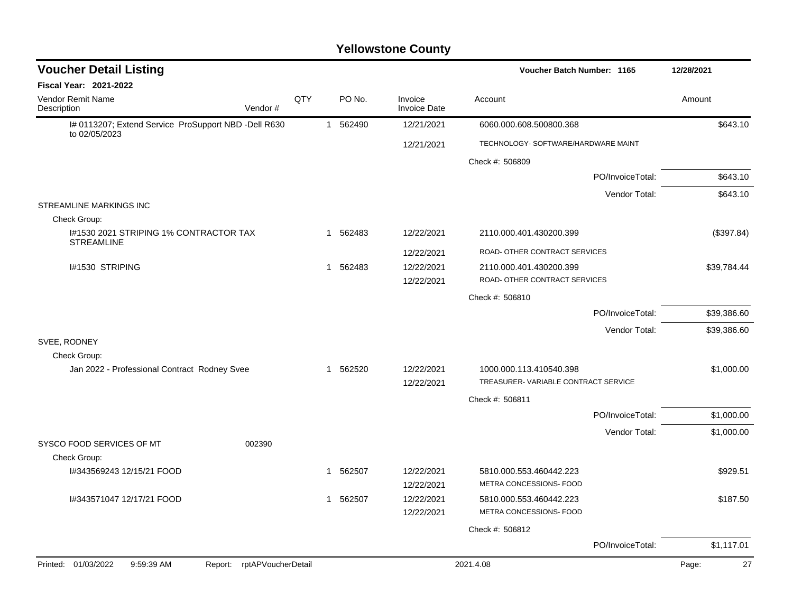| <b>Voucher Detail Listing</b>                                         |                            |     |              |          |                                | Voucher Batch Number: 1165                         |                  | 12/28/2021  |
|-----------------------------------------------------------------------|----------------------------|-----|--------------|----------|--------------------------------|----------------------------------------------------|------------------|-------------|
| Fiscal Year: 2021-2022                                                |                            |     |              |          |                                |                                                    |                  |             |
| Vendor Remit Name<br>Description                                      | Vendor#                    | QTY |              | PO No.   | Invoice<br><b>Invoice Date</b> | Account                                            |                  | Amount      |
| I# 0113207; Extend Service ProSupport NBD -Dell R630<br>to 02/05/2023 |                            |     | $\mathbf{1}$ | 562490   | 12/21/2021                     | 6060.000.608.500800.368                            |                  | \$643.10    |
|                                                                       |                            |     |              |          | 12/21/2021                     | TECHNOLOGY- SOFTWARE/HARDWARE MAINT                |                  |             |
|                                                                       |                            |     |              |          |                                | Check #: 506809                                    |                  |             |
|                                                                       |                            |     |              |          |                                |                                                    | PO/InvoiceTotal: | \$643.10    |
|                                                                       |                            |     |              |          |                                |                                                    | Vendor Total:    | \$643.10    |
| STREAMLINE MARKINGS INC                                               |                            |     |              |          |                                |                                                    |                  |             |
| Check Group:                                                          |                            |     |              |          |                                |                                                    |                  |             |
| I#1530 2021 STRIPING 1% CONTRACTOR TAX<br><b>STREAMLINE</b>           |                            |     |              | 1 562483 | 12/22/2021                     | 2110.000.401.430200.399                            |                  | (\$397.84)  |
|                                                                       |                            |     |              |          | 12/22/2021                     | ROAD- OTHER CONTRACT SERVICES                      |                  |             |
| I#1530 STRIPING                                                       |                            |     | $\mathbf{1}$ | 562483   | 12/22/2021                     | 2110.000.401.430200.399                            |                  | \$39,784.44 |
|                                                                       |                            |     |              |          | 12/22/2021                     | ROAD- OTHER CONTRACT SERVICES                      |                  |             |
|                                                                       |                            |     |              |          |                                | Check #: 506810                                    |                  |             |
|                                                                       |                            |     |              |          |                                |                                                    | PO/InvoiceTotal: | \$39,386.60 |
|                                                                       |                            |     |              |          |                                |                                                    | Vendor Total:    | \$39,386.60 |
| SVEE, RODNEY                                                          |                            |     |              |          |                                |                                                    |                  |             |
| Check Group:                                                          |                            |     |              |          |                                |                                                    |                  |             |
| Jan 2022 - Professional Contract Rodney Svee                          |                            |     | $\mathbf{1}$ | 562520   | 12/22/2021                     | 1000.000.113.410540.398                            |                  | \$1,000.00  |
|                                                                       |                            |     |              |          | 12/22/2021                     | TREASURER-VARIABLE CONTRACT SERVICE                |                  |             |
|                                                                       |                            |     |              |          |                                | Check #: 506811                                    |                  |             |
|                                                                       |                            |     |              |          |                                |                                                    | PO/InvoiceTotal: | \$1,000.00  |
|                                                                       |                            |     |              |          |                                |                                                    | Vendor Total:    | \$1,000.00  |
| SYSCO FOOD SERVICES OF MT                                             | 002390                     |     |              |          |                                |                                                    |                  |             |
| Check Group:                                                          |                            |     | 1            |          |                                |                                                    |                  |             |
| I#343569243 12/15/21 FOOD                                             |                            |     |              | 562507   | 12/22/2021                     | 5810.000.553.460442.223<br>METRA CONCESSIONS- FOOD |                  | \$929.51    |
|                                                                       |                            |     |              |          | 12/22/2021                     |                                                    |                  |             |
| I#343571047 12/17/21 FOOD                                             |                            |     |              | 1 562507 | 12/22/2021                     | 5810.000.553.460442.223                            |                  | \$187.50    |
|                                                                       |                            |     |              |          | 12/22/2021                     | METRA CONCESSIONS- FOOD                            |                  |             |
|                                                                       |                            |     |              |          |                                | Check #: 506812                                    |                  |             |
|                                                                       |                            |     |              |          |                                |                                                    | PO/InvoiceTotal: | \$1,117.01  |
| Printed: 01/03/2022<br>9:59:39 AM                                     | Report: rptAPVoucherDetail |     |              |          |                                | 2021.4.08                                          |                  | 27<br>Page: |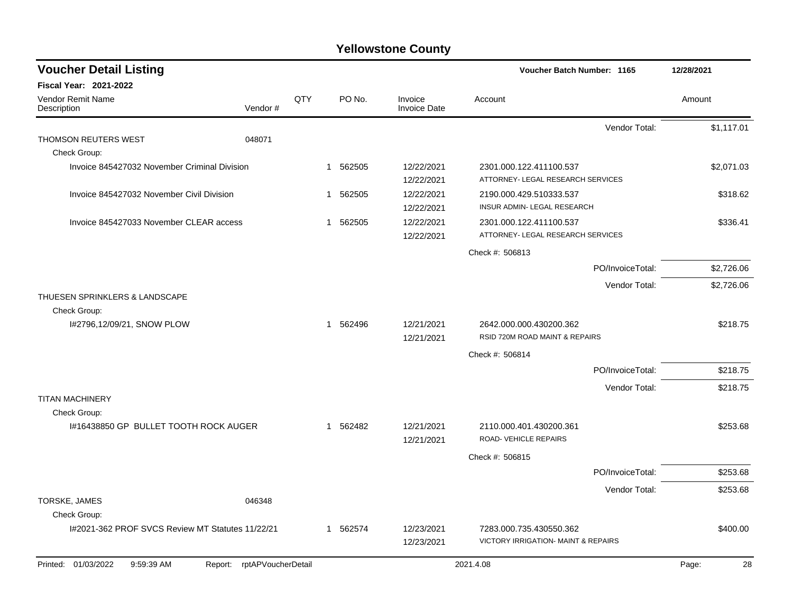| <b>Voucher Detail Listing</b>                    |                               |     |                        |                                | Voucher Batch Number: 1165                                     |                  | 12/28/2021  |
|--------------------------------------------------|-------------------------------|-----|------------------------|--------------------------------|----------------------------------------------------------------|------------------|-------------|
| Fiscal Year: 2021-2022                           |                               |     |                        |                                |                                                                |                  |             |
| Vendor Remit Name<br>Description                 | Vendor#                       | QTY | PO No.                 | Invoice<br><b>Invoice Date</b> | Account                                                        |                  | Amount      |
|                                                  |                               |     |                        |                                |                                                                | Vendor Total:    | \$1,117.01  |
| THOMSON REUTERS WEST<br>Check Group:             | 048071                        |     |                        |                                |                                                                |                  |             |
| Invoice 845427032 November Criminal Division     |                               |     | 1 562505               | 12/22/2021<br>12/22/2021       | 2301.000.122.411100.537<br>ATTORNEY- LEGAL RESEARCH SERVICES   |                  | \$2,071.03  |
| Invoice 845427032 November Civil Division        |                               |     | 562505<br>$\mathbf{1}$ | 12/22/2021<br>12/22/2021       | 2190.000.429.510333.537<br>INSUR ADMIN- LEGAL RESEARCH         |                  | \$318.62    |
| Invoice 845427033 November CLEAR access          |                               |     | 562505<br>$\mathbf{1}$ | 12/22/2021<br>12/22/2021       | 2301.000.122.411100.537<br>ATTORNEY- LEGAL RESEARCH SERVICES   |                  | \$336.41    |
|                                                  |                               |     |                        |                                | Check #: 506813                                                |                  |             |
|                                                  |                               |     |                        |                                |                                                                | PO/InvoiceTotal: | \$2,726.06  |
|                                                  |                               |     |                        |                                |                                                                | Vendor Total:    | \$2,726.06  |
| THUESEN SPRINKLERS & LANDSCAPE<br>Check Group:   |                               |     |                        |                                |                                                                |                  |             |
| I#2796,12/09/21, SNOW PLOW                       |                               |     | 1 562496               | 12/21/2021<br>12/21/2021       | 2642.000.000.430200.362<br>RSID 720M ROAD MAINT & REPAIRS      |                  | \$218.75    |
|                                                  |                               |     |                        |                                | Check #: 506814                                                |                  |             |
|                                                  |                               |     |                        |                                |                                                                | PO/InvoiceTotal: | \$218.75    |
|                                                  |                               |     |                        |                                |                                                                | Vendor Total:    | \$218.75    |
| <b>TITAN MACHINERY</b><br>Check Group:           |                               |     |                        |                                |                                                                |                  |             |
| I#16438850 GP BULLET TOOTH ROCK AUGER            |                               |     | 1 562482               | 12/21/2021<br>12/21/2021       | 2110.000.401.430200.361<br>ROAD- VEHICLE REPAIRS               |                  | \$253.68    |
|                                                  |                               |     |                        |                                | Check #: 506815                                                |                  |             |
|                                                  |                               |     |                        |                                |                                                                | PO/InvoiceTotal: | \$253.68    |
|                                                  |                               |     |                        |                                |                                                                | Vendor Total:    | \$253.68    |
| TORSKE, JAMES<br>Check Group:                    | 046348                        |     |                        |                                |                                                                |                  |             |
| I#2021-362 PROF SVCS Review MT Statutes 11/22/21 |                               |     | 1 562574               | 12/23/2021<br>12/23/2021       | 7283.000.735.430550.362<br>VICTORY IRRIGATION- MAINT & REPAIRS |                  | \$400.00    |
| Printed: 01/03/2022<br>9:59:39 AM                | rptAPVoucherDetail<br>Report: |     |                        |                                | 2021.4.08                                                      |                  | 28<br>Page: |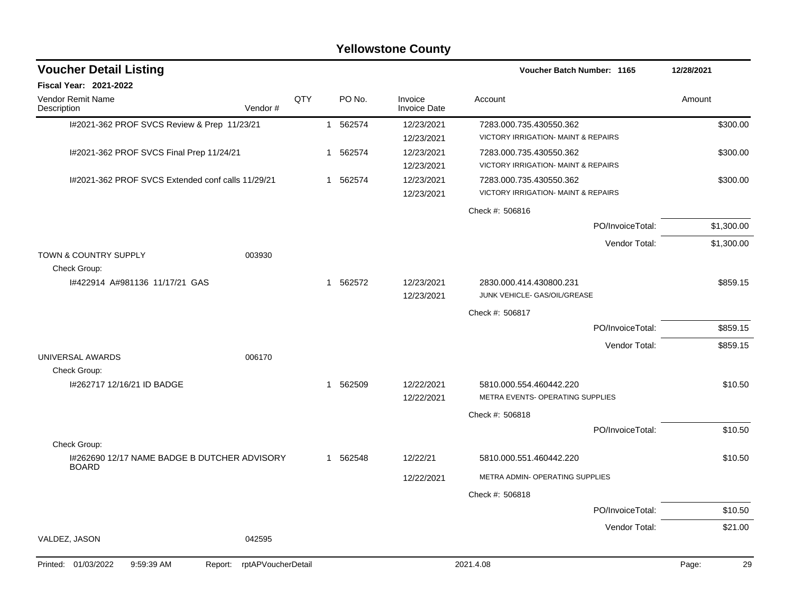#### I#2021-362 PROF SVCS Review & Prep 11/23/21 1 562574 12/23/2021 1 7283.000.735.430550.362 \$300.00 12/23/2021 VICTORY IRRIGATION- MAINT & REPAIRS I#2021-362 PROF SVCS Final Prep 11/24/21 1 562574 12/23/2021 7283.000.735.430550.362 \$300.00 12/23/2021 VICTORY IRRIGATION- MAINT & REPAIRS I#2021-362 PROF SVCS Extended conf calls 11/29/21 1 562574 12/23/2021 7283.000.735.430550.362 \$300.00 12/23/2021 VICTORY IRRIGATION- MAINT & REPAIRS Check #: 506816 PO/InvoiceTotal: \$1,300.00 Vendor Total: \$1,300.00 TOWN & COUNTRY SUPPLY 003930 Check Group: I#422914 A#981136 11/17/21 GAS 1 562572 12/23/2021 2830.000.414.430800.231 \$859.15 12/23/2021 JUNK VEHICLE- GAS/OIL/GREASE Check #: 506817 PO/InvoiceTotal: \$859.15 Vendor Total: \$859.15 UNIVERSAL AWARDS 006170 Check Group: I#262717 12/16/21 ID BADGE 1 562509 12/22/2021 5810.000.554.460442.220 \$10.50 12/22/2021 METRA EVENTS- OPERATING SUPPLIES Check #: 506818 PO/InvoiceTotal: \$10.50 Check Group: I#262690 12/17 NAME BADGE B DUTCHER ADVISORY BOARD 1 562548 12/22/21 5810.000.551.460442.220 \$10.50 12/22/2021 METRA ADMIN- OPERATING SUPPLIES Check #: 506818 PO/InvoiceTotal: \$10.50 Vendor Total: \$21.00 VALDEZ, JASON 042595 **Voucher Batch Number: Yellowstone County** Vendor Remit Name **Description Voucher Detail Listing Fiscal Year: 2021-2022 1165 12/28/2021** PO No. Invoice Account Amount Amount Amount Amount Vendor # **QTY** Invoice Date Printed: 01/03/2022 9:59:39 AM Report: rptAPVoucherDetail 2021.4.08 Page: 29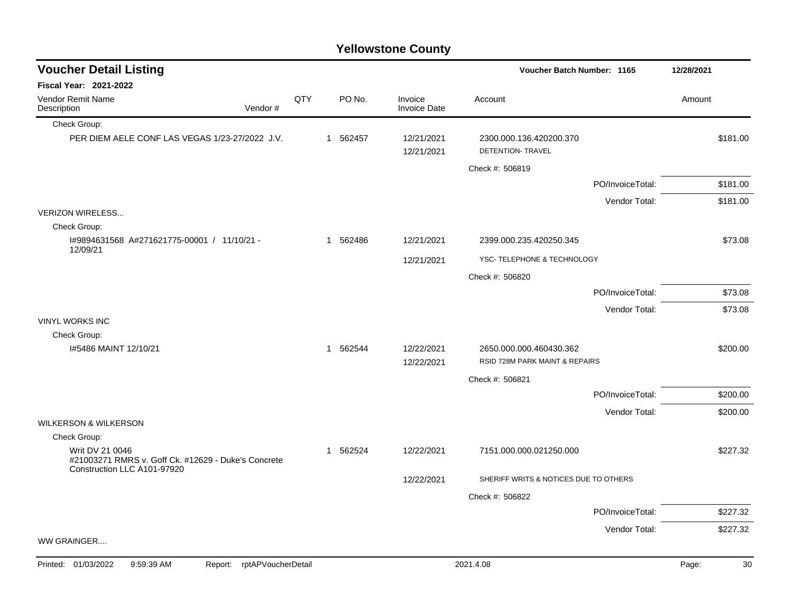# **Voucher Batch Number: Yellowstone County** QTY

| Fiscal Year: 2021-2022                                                                 |         |     |                       |                          |                                              |                  |          |
|----------------------------------------------------------------------------------------|---------|-----|-----------------------|--------------------------|----------------------------------------------|------------------|----------|
| <b>Vendor Remit Name</b><br>Description                                                | Vendor# | QTY | PO No.                | Invoice<br>Invoice Date  | Account                                      |                  | Amount   |
| Check Group:                                                                           |         |     |                       |                          |                                              |                  |          |
| PER DIEM AELE CONF LAS VEGAS 1/23-27/2022 J.V.                                         |         |     | 1 562457              | 12/21/2021<br>12/21/2021 | 2300.000.136.420200.370<br>DETENTION- TRAVEL |                  | \$181.00 |
|                                                                                        |         |     |                       |                          | Check #: 506819                              |                  |          |
|                                                                                        |         |     |                       |                          |                                              | PO/InvoiceTotal: | \$181.00 |
|                                                                                        |         |     |                       |                          |                                              | Vendor Total:    | \$181.00 |
| <b>VERIZON WIRELESS</b>                                                                |         |     |                       |                          |                                              |                  |          |
| Check Group:                                                                           |         |     |                       |                          |                                              |                  |          |
| I#9894631568 A#271621775-00001 / 11/10/21 -<br>12/09/21                                |         |     | 1 562486              | 12/21/2021               | 2399.000.235.420250.345                      |                  | \$73.08  |
|                                                                                        |         |     |                       | 12/21/2021               | YSC- TELEPHONE & TECHNOLOGY                  |                  |          |
|                                                                                        |         |     |                       |                          | Check #: 506820                              |                  |          |
|                                                                                        |         |     |                       |                          |                                              | PO/InvoiceTotal: | \$73.08  |
|                                                                                        |         |     |                       |                          |                                              | Vendor Total:    | \$73.08  |
| <b>VINYL WORKS INC</b>                                                                 |         |     |                       |                          |                                              |                  |          |
| Check Group:                                                                           |         |     |                       |                          |                                              |                  |          |
| I#5486 MAINT 12/10/21                                                                  |         |     | 562544<br>$\mathbf 1$ | 12/22/2021               | 2650.000.000.460430.362                      |                  | \$200.00 |
|                                                                                        |         |     |                       | 12/22/2021               | RSID 728M PARK MAINT & REPAIRS               |                  |          |
|                                                                                        |         |     |                       |                          | Check #: 506821                              |                  |          |
|                                                                                        |         |     |                       |                          |                                              | PO/InvoiceTotal: | \$200.00 |
|                                                                                        |         |     |                       |                          |                                              | Vendor Total:    | \$200.00 |
| <b>WILKERSON &amp; WILKERSON</b>                                                       |         |     |                       |                          |                                              |                  |          |
| Check Group:<br>Writ DV 21 0046<br>#21003271 RMRS v. Goff Ck. #12629 - Duke's Concrete |         |     | 562524<br>1           | 12/22/2021               | 7151.000.000.021250.000                      |                  | \$227.32 |
| Construction LLC A101-97920                                                            |         |     |                       |                          |                                              |                  |          |
|                                                                                        |         |     |                       | 12/22/2021               | SHERIFF WRITS & NOTICES DUE TO OTHERS        |                  |          |
|                                                                                        |         |     |                       |                          | Check #: 506822                              |                  |          |
|                                                                                        |         |     |                       |                          |                                              | PO/InvoiceTotal: | \$227.32 |
|                                                                                        |         |     |                       |                          |                                              | Vendor Total:    | \$227.32 |
| WW GRAINGER                                                                            |         |     |                       |                          |                                              |                  |          |
|                                                                                        |         |     |                       |                          |                                              |                  |          |

**Voucher Detail Listing**

**1165 12/28/2021**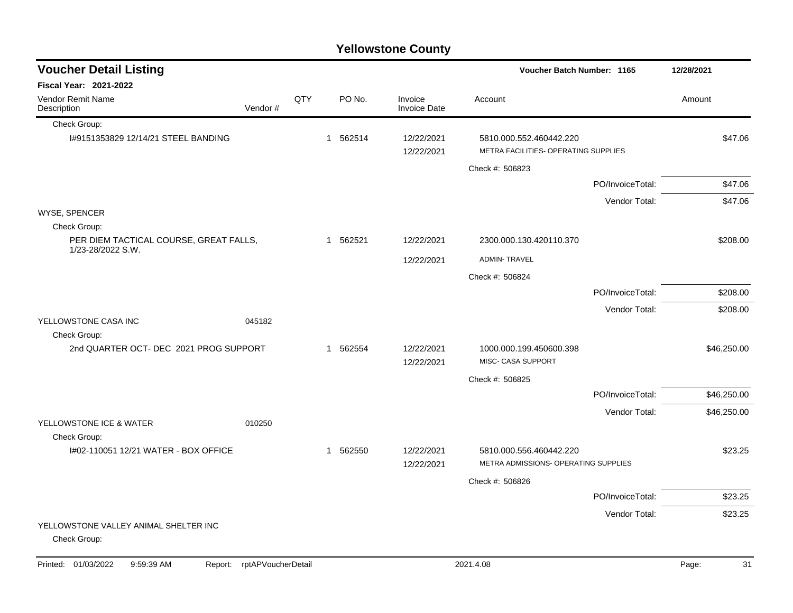|  |  | <b>Yellowstone County</b> |
|--|--|---------------------------|
|--|--|---------------------------|

| <b>Voucher Detail Listing</b>                               |         |     |   |          |                                |                                                                 | Voucher Batch Number: 1165 |             |  |
|-------------------------------------------------------------|---------|-----|---|----------|--------------------------------|-----------------------------------------------------------------|----------------------------|-------------|--|
| <b>Fiscal Year: 2021-2022</b>                               |         |     |   |          |                                |                                                                 |                            |             |  |
| Vendor Remit Name<br>Description                            | Vendor# | QTY |   | PO No.   | Invoice<br><b>Invoice Date</b> | Account                                                         |                            | Amount      |  |
| Check Group:                                                |         |     |   |          |                                |                                                                 |                            |             |  |
| I#9151353829 12/14/21 STEEL BANDING                         |         |     |   | 1 562514 | 12/22/2021<br>12/22/2021       | 5810.000.552.460442.220<br>METRA FACILITIES- OPERATING SUPPLIES |                            | \$47.06     |  |
|                                                             |         |     |   |          |                                | Check #: 506823                                                 |                            |             |  |
|                                                             |         |     |   |          |                                |                                                                 | PO/InvoiceTotal:           | \$47.06     |  |
|                                                             |         |     |   |          |                                |                                                                 | Vendor Total:              | \$47.06     |  |
| WYSE, SPENCER                                               |         |     |   |          |                                |                                                                 |                            |             |  |
| Check Group:                                                |         |     |   |          |                                |                                                                 |                            |             |  |
| PER DIEM TACTICAL COURSE, GREAT FALLS,<br>1/23-28/2022 S.W. |         |     | 1 | 562521   | 12/22/2021                     | 2300.000.130.420110.370                                         |                            | \$208.00    |  |
|                                                             |         |     |   |          | 12/22/2021                     | <b>ADMIN-TRAVEL</b>                                             |                            |             |  |
|                                                             |         |     |   |          |                                | Check #: 506824                                                 |                            |             |  |
|                                                             |         |     |   |          |                                |                                                                 | PO/InvoiceTotal:           | \$208.00    |  |
|                                                             |         |     |   |          |                                |                                                                 | Vendor Total:              | \$208.00    |  |
| YELLOWSTONE CASA INC                                        | 045182  |     |   |          |                                |                                                                 |                            |             |  |
| Check Group:<br>2nd QUARTER OCT- DEC 2021 PROG SUPPORT      |         |     |   | 1 562554 | 12/22/2021                     | 1000.000.199.450600.398                                         |                            | \$46,250.00 |  |
|                                                             |         |     |   |          | 12/22/2021                     | MISC- CASA SUPPORT                                              |                            |             |  |
|                                                             |         |     |   |          |                                | Check #: 506825                                                 |                            |             |  |
|                                                             |         |     |   |          |                                |                                                                 | PO/InvoiceTotal:           | \$46,250.00 |  |
|                                                             |         |     |   |          |                                |                                                                 | Vendor Total:              | \$46,250.00 |  |
| YELLOWSTONE ICE & WATER                                     | 010250  |     |   |          |                                |                                                                 |                            |             |  |
| Check Group:                                                |         |     |   |          |                                |                                                                 |                            |             |  |
| I#02-110051 12/21 WATER - BOX OFFICE                        |         |     |   | 1 562550 | 12/22/2021<br>12/22/2021       | 5810.000.556.460442.220<br>METRA ADMISSIONS- OPERATING SUPPLIES |                            | \$23.25     |  |
|                                                             |         |     |   |          |                                |                                                                 |                            |             |  |
|                                                             |         |     |   |          |                                | Check #: 506826                                                 |                            |             |  |
|                                                             |         |     |   |          |                                |                                                                 | PO/InvoiceTotal:           | \$23.25     |  |
| YELLOWSTONE VALLEY ANIMAL SHELTER INC                       |         |     |   |          |                                |                                                                 | Vendor Total:              | \$23.25     |  |
| Check Group:                                                |         |     |   |          |                                |                                                                 |                            |             |  |
|                                                             |         |     |   |          |                                |                                                                 |                            |             |  |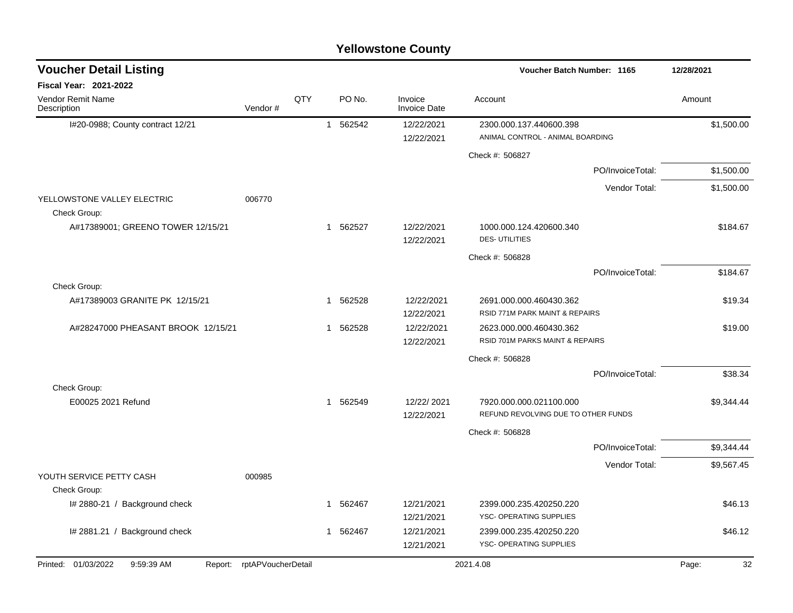| <b>Voucher Detail Listing</b>               |                            |     |              |          |                                | Voucher Batch Number: 1165                                     | 12/28/2021  |
|---------------------------------------------|----------------------------|-----|--------------|----------|--------------------------------|----------------------------------------------------------------|-------------|
| <b>Fiscal Year: 2021-2022</b>               |                            |     |              |          |                                |                                                                |             |
| Vendor Remit Name<br>Description            | Vendor#                    | QTY |              | PO No.   | Invoice<br><b>Invoice Date</b> | Account                                                        | Amount      |
| I#20-0988; County contract 12/21            |                            |     |              | 1 562542 | 12/22/2021<br>12/22/2021       | 2300.000.137.440600.398<br>ANIMAL CONTROL - ANIMAL BOARDING    | \$1,500.00  |
|                                             |                            |     |              |          |                                | Check #: 506827                                                |             |
|                                             |                            |     |              |          |                                | PO/InvoiceTotal:                                               | \$1,500.00  |
|                                             |                            |     |              |          |                                | Vendor Total:                                                  | \$1,500.00  |
| YELLOWSTONE VALLEY ELECTRIC<br>Check Group: | 006770                     |     |              |          |                                |                                                                |             |
| A#17389001; GREENO TOWER 12/15/21           |                            |     | $\mathbf{1}$ | 562527   | 12/22/2021<br>12/22/2021       | 1000.000.124.420600.340<br><b>DES-UTILITIES</b>                | \$184.67    |
|                                             |                            |     |              |          |                                | Check #: 506828                                                |             |
|                                             |                            |     |              |          |                                | PO/InvoiceTotal:                                               | \$184.67    |
| Check Group:                                |                            |     |              |          |                                |                                                                |             |
| A#17389003 GRANITE PK 12/15/21              |                            |     |              | 1 562528 | 12/22/2021<br>12/22/2021       | 2691.000.000.460430.362<br>RSID 771M PARK MAINT & REPAIRS      | \$19.34     |
| A#28247000 PHEASANT BROOK 12/15/21          |                            |     |              | 1 562528 | 12/22/2021<br>12/22/2021       | 2623.000.000.460430.362<br>RSID 701M PARKS MAINT & REPAIRS     | \$19.00     |
|                                             |                            |     |              |          |                                | Check #: 506828                                                |             |
|                                             |                            |     |              |          |                                | PO/InvoiceTotal:                                               | \$38.34     |
| Check Group:                                |                            |     |              |          |                                |                                                                |             |
| E00025 2021 Refund                          |                            |     |              | 1 562549 | 12/22/2021<br>12/22/2021       | 7920.000.000.021100.000<br>REFUND REVOLVING DUE TO OTHER FUNDS | \$9,344.44  |
|                                             |                            |     |              |          |                                | Check #: 506828                                                |             |
|                                             |                            |     |              |          |                                | PO/InvoiceTotal:                                               | \$9,344.44  |
|                                             |                            |     |              |          |                                | Vendor Total:                                                  | \$9,567.45  |
| YOUTH SERVICE PETTY CASH<br>Check Group:    | 000985                     |     |              |          |                                |                                                                |             |
| I# 2880-21 / Background check               |                            |     |              | 1 562467 | 12/21/2021<br>12/21/2021       | 2399.000.235.420250.220<br>YSC- OPERATING SUPPLIES             | \$46.13     |
| I# 2881.21 / Background check               |                            |     |              | 1 562467 | 12/21/2021<br>12/21/2021       | 2399.000.235.420250.220<br>YSC- OPERATING SUPPLIES             | \$46.12     |
| Printed: 01/03/2022<br>9:59:39 AM           | Report: rptAPVoucherDetail |     |              |          |                                | 2021.4.08                                                      | 32<br>Page: |